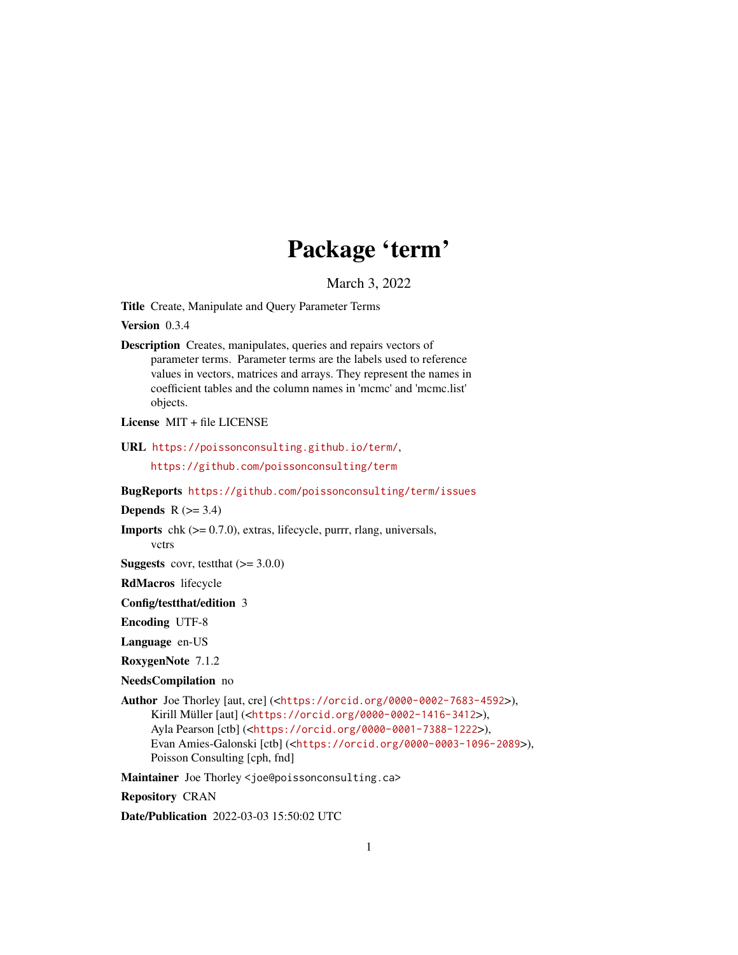# Package 'term'

March 3, 2022

<span id="page-0-0"></span>Title Create, Manipulate and Query Parameter Terms

Version 0.3.4

Description Creates, manipulates, queries and repairs vectors of parameter terms. Parameter terms are the labels used to reference values in vectors, matrices and arrays. They represent the names in coefficient tables and the column names in 'mcmc' and 'mcmc.list' objects.

License MIT + file LICENSE

URL <https://poissonconsulting.github.io/term/>,

<https://github.com/poissonconsulting/term>

BugReports <https://github.com/poissonconsulting/term/issues>

Depends  $R$  ( $>= 3.4$ )

**Imports** chk  $(>= 0.7.0)$ , extras, lifecycle, purrr, rlang, universals, vctrs

**Suggests** covr, test that  $(>= 3.0.0)$ 

RdMacros lifecycle

Config/testthat/edition 3

Encoding UTF-8

Language en-US

RoxygenNote 7.1.2

NeedsCompilation no

Author Joe Thorley [aut, cre] (<<https://orcid.org/0000-0002-7683-4592>>), Kirill Müller [aut] (<<https://orcid.org/0000-0002-1416-3412>>), Ayla Pearson [ctb] (<<https://orcid.org/0000-0001-7388-1222>>), Evan Amies-Galonski [ctb] (<<https://orcid.org/0000-0003-1096-2089>>), Poisson Consulting [cph, fnd]

Maintainer Joe Thorley <joe@poissonconsulting.ca>

Repository CRAN

Date/Publication 2022-03-03 15:50:02 UTC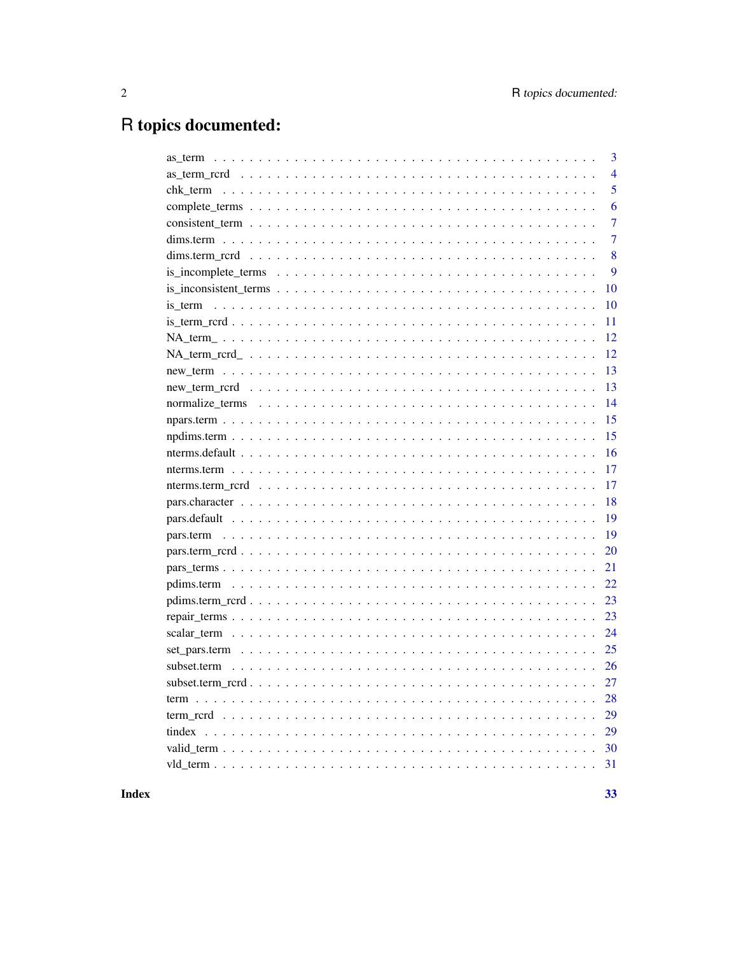## R topics documented:

| as term      | 3  |
|--------------|----|
|              | 4  |
| chk_term     | 5  |
|              | 6  |
|              | 7  |
|              | 7  |
|              | 8  |
|              | 9  |
|              | 10 |
| is term      | 10 |
|              | 11 |
|              | 12 |
|              | 12 |
|              | 13 |
|              | 13 |
|              | 14 |
|              | 15 |
|              | 15 |
|              | 16 |
|              | 17 |
|              | 17 |
|              | 18 |
| pars.default | 19 |
|              | 19 |
|              | 20 |
|              | 21 |
|              | 22 |
|              | 23 |
|              | 23 |
|              | 24 |
|              | 25 |
| subset.term  | 26 |
|              | 27 |
|              | 28 |
|              | 29 |
| tindex       | 29 |
|              | 30 |
|              | 31 |
|              |    |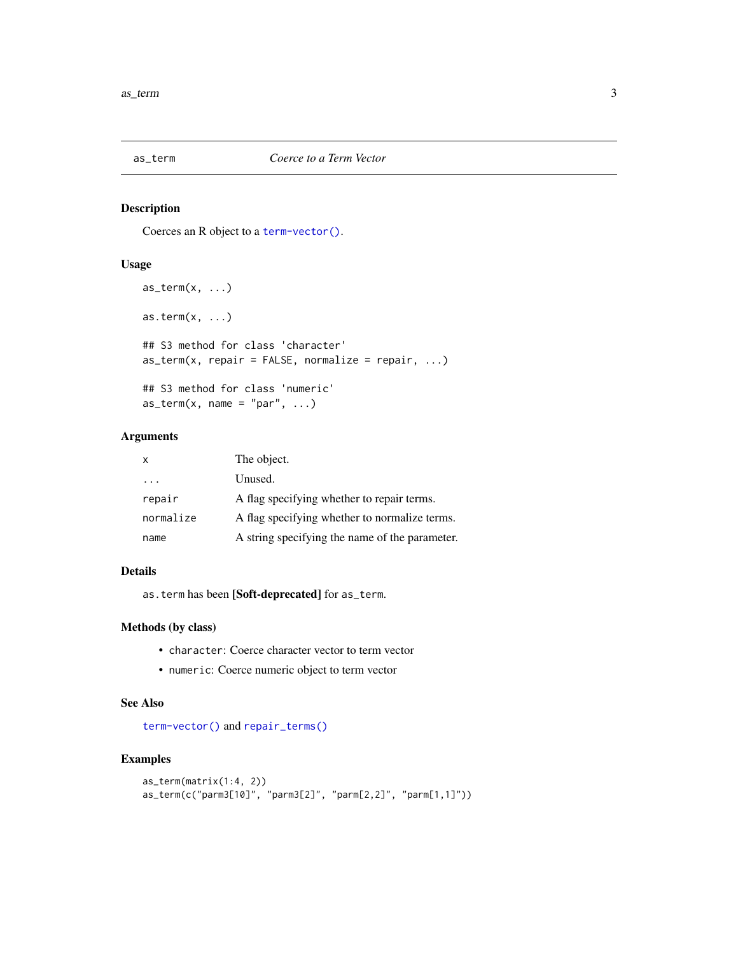<span id="page-2-1"></span><span id="page-2-0"></span>

Coerces an R object to a [term-vector\(\)](#page-27-1).

#### Usage

```
as\_term(x, \ldots)as.term(x, \ldots)## S3 method for class 'character'
as_{\text{term}}(x, \text{ repair} = \text{FALSE}, \text{ normalize} = \text{ repair}, \dots)## S3 method for class 'numeric'
as\_term(x, name = "par", ...)
```
#### Arguments

| X         | The object.                                    |
|-----------|------------------------------------------------|
| .         | Unused.                                        |
| repair    | A flag specifying whether to repair terms.     |
| normalize | A flag specifying whether to normalize terms.  |
| name      | A string specifying the name of the parameter. |

#### Details

as.term has been [Soft-deprecated] for as\_term.

#### Methods (by class)

- character: Coerce character vector to term vector
- numeric: Coerce numeric object to term vector

#### See Also

[term-vector\(\)](#page-27-1) and [repair\\_terms\(\)](#page-22-1)

```
as_term(matrix(1:4, 2))
as_term(c("parm3[10]", "parm3[2]", "parm[2,2]", "parm[1,1]"))
```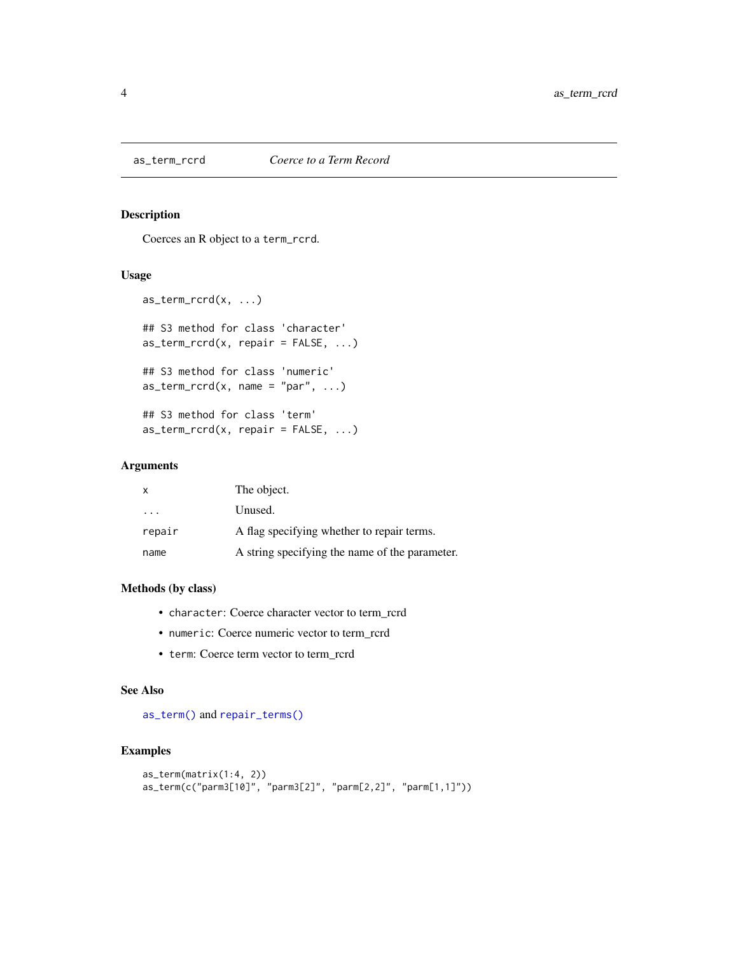<span id="page-3-0"></span>

Coerces an R object to a term\_rcrd.

#### Usage

```
as_{\text{term}_{\text{r}}}\text{card}(x, \ldots)## S3 method for class 'character'
as_{\text{term}_{\text{r}}}\text{card}(x, \text{ repair} = \text{FALSE}, \ldots)## S3 method for class 'numeric'
as_{\text{term}_{\text{r}}}\text{card}(x, \text{ name } = "par", \ldots)## S3 method for class 'term'
as_{\text{term}_{\text{r}}}\text{card}(x, \text{ repair} = \text{FALSE}, \ldots)
```
#### Arguments

| $\boldsymbol{\mathsf{x}}$ | The object.                                    |
|---------------------------|------------------------------------------------|
| .                         | Unused.                                        |
| repair                    | A flag specifying whether to repair terms.     |
| name                      | A string specifying the name of the parameter. |

#### Methods (by class)

- character: Coerce character vector to term\_rcrd
- numeric: Coerce numeric vector to term\_rcrd
- term: Coerce term vector to term\_rcrd

#### See Also

[as\\_term\(\)](#page-2-1) and [repair\\_terms\(\)](#page-22-1)

```
as_term(matrix(1:4, 2))
as_term(c("parm3[10]", "parm3[2]", "parm[2,2]", "parm[1,1]"))
```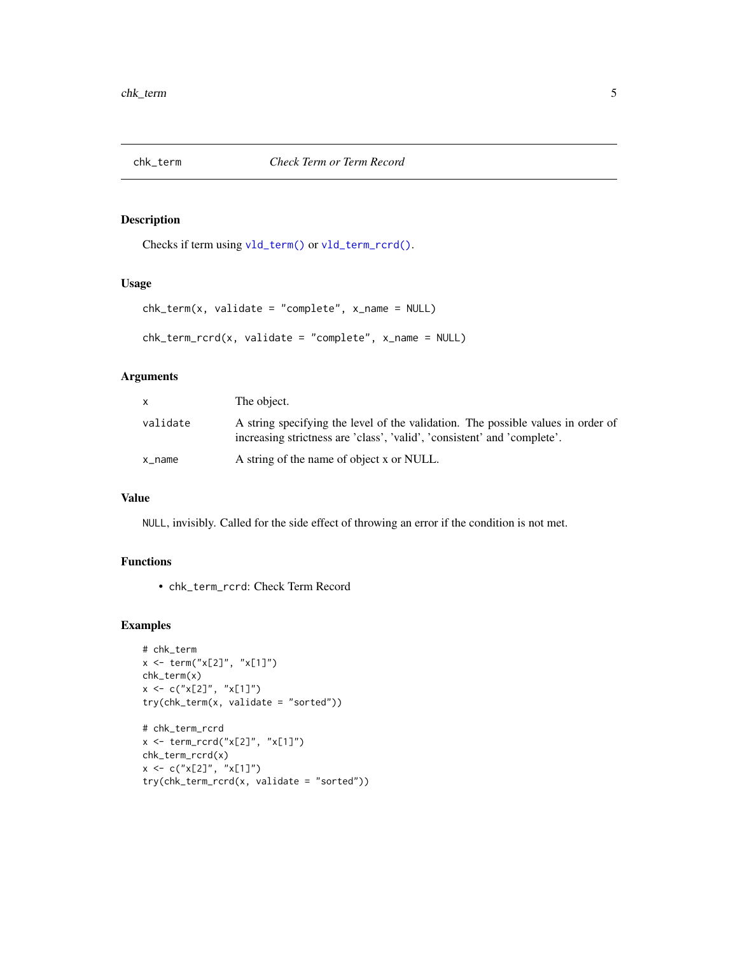<span id="page-4-1"></span><span id="page-4-0"></span>

Checks if term using [vld\\_term\(\)](#page-30-1) or [vld\\_term\\_rcrd\(\)](#page-30-2).

#### Usage

```
chk_term(x, validate = "complete", x_name = NULL)
```

```
chk_term_rcrd(x, validate = "complete", x_name = NULL)
```
#### Arguments

| X         | The object.                                                                                                                                                  |
|-----------|--------------------------------------------------------------------------------------------------------------------------------------------------------------|
| validate  | A string specifying the level of the validation. The possible values in order of<br>increasing strictness are 'class', 'valid', 'consistent' and 'complete'. |
| $x$ _name | A string of the name of object x or NULL.                                                                                                                    |

#### Value

NULL, invisibly. Called for the side effect of throwing an error if the condition is not met.

#### Functions

• chk\_term\_rcrd: Check Term Record

```
# chk_term
x <- term("x[2]", "x[1]")
chk_term(x)
x \leq -c("x[2]", "x[1]")try(chk_term(x, validate = "sorted"))
# chk_term_rcrd
x <- term_rcrd("x[2]", "x[1]")
chk_term_rcrd(x)
x \leq -c("x[2]", "x[1]")try(chk_term_rcrd(x, validate = "sorted"))
```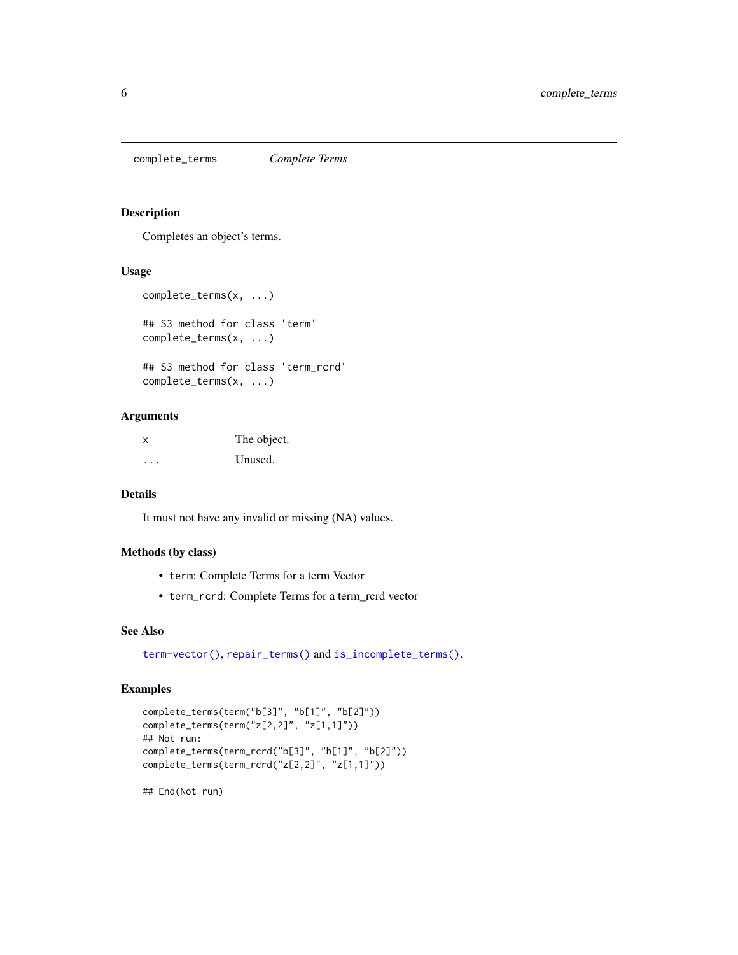<span id="page-5-1"></span><span id="page-5-0"></span>complete\_terms *Complete Terms*

#### Description

Completes an object's terms.

#### Usage

```
complete_terms(x, ...)
## S3 method for class 'term'
complete_terms(x, ...)
## S3 method for class 'term_rcrd'
complete_terms(x, ...)
```
#### Arguments

x The object. ... Unused.

#### Details

It must not have any invalid or missing (NA) values.

#### Methods (by class)

- term: Complete Terms for a term Vector
- term\_rcrd: Complete Terms for a term\_rcrd vector

#### See Also

[term-vector\(\)](#page-27-1), [repair\\_terms\(\)](#page-22-1) and [is\\_incomplete\\_terms\(\)](#page-8-1).

#### Examples

```
complete_terms(term("b[3]", "b[1]", "b[2]"))
complete_terms(term("z[2,2]", "z[1,1]"))
## Not run:
complete_terms(term_rcrd("b[3]", "b[1]", "b[2]"))
complete_terms(term_rcrd("z[2,2]", "z[1,1]"))
```
## End(Not run)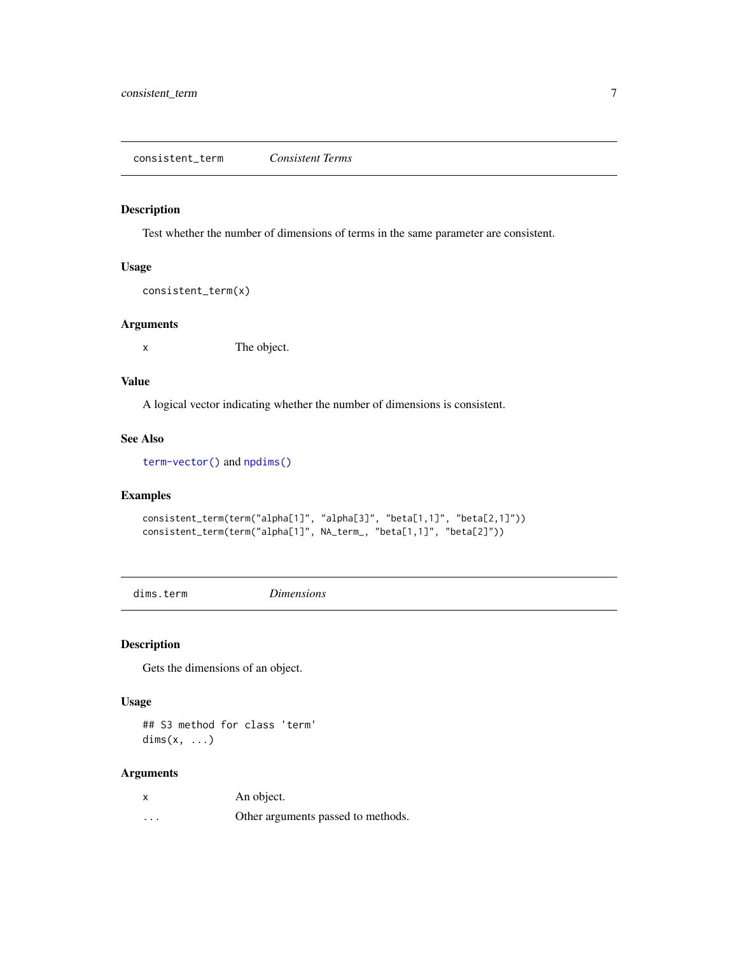<span id="page-6-1"></span><span id="page-6-0"></span>Test whether the number of dimensions of terms in the same parameter are consistent.

#### Usage

consistent\_term(x)

#### Arguments

x The object.

#### Value

A logical vector indicating whether the number of dimensions is consistent.

#### See Also

[term-vector\(\)](#page-27-1) and [npdims\(\)](#page-0-0)

#### Examples

```
consistent_term(term("alpha[1]", "alpha[3]", "beta[1,1]", "beta[2,1]"))
consistent_term(term("alpha[1]", NA_term_, "beta[1,1]", "beta[2]"))
```
dims.term *Dimensions*

#### Description

Gets the dimensions of an object.

#### Usage

## S3 method for class 'term' dims(x, ...)

#### Arguments

| X        | An object.                         |
|----------|------------------------------------|
| $\cdots$ | Other arguments passed to methods. |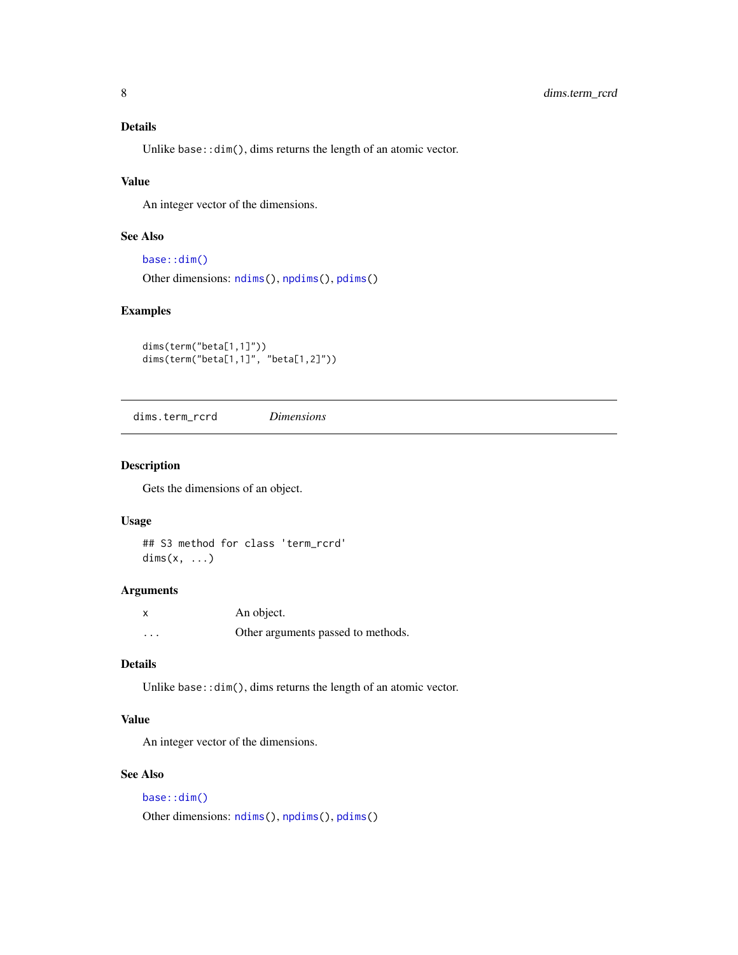#### <span id="page-7-0"></span>Details

Unlike base::dim(), dims returns the length of an atomic vector.

#### Value

An integer vector of the dimensions.

#### See Also

```
base::dim()
Other dimensions: ndims(), npdims(), pdims()
```
#### Examples

```
dims(term("beta[1,1]"))
dims(term("beta[1,1]", "beta[1,2]"))
```
dims.term\_rcrd *Dimensions*

#### Description

Gets the dimensions of an object.

#### Usage

## S3 method for class 'term\_rcrd'  $\text{dims}(x, \ldots)$ 

#### Arguments

| X        | An object.                         |
|----------|------------------------------------|
| $\cdots$ | Other arguments passed to methods. |

#### Details

Unlike base::dim(), dims returns the length of an atomic vector.

#### Value

An integer vector of the dimensions.

#### See Also

[base::dim\(\)](#page-0-0) Other dimensions: [ndims\(](#page-0-0)), [npdims\(](#page-0-0)), [pdims\(](#page-0-0))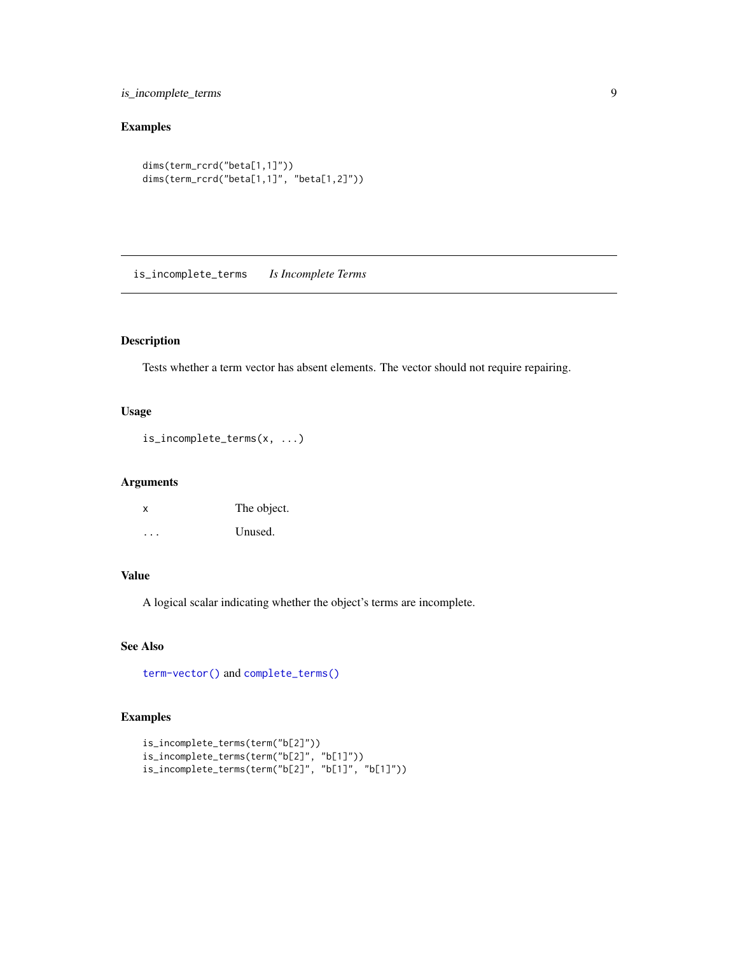<span id="page-8-0"></span>is\_incomplete\_terms 9

#### Examples

```
dims(term_rcrd("beta[1,1]"))
dims(term_rcrd("beta[1,1]", "beta[1,2]"))
```
<span id="page-8-1"></span>is\_incomplete\_terms *Is Incomplete Terms*

#### Description

Tests whether a term vector has absent elements. The vector should not require repairing.

#### Usage

```
is_incomplete_terms(x, ...)
```
#### Arguments

| x | The object. |
|---|-------------|
| . | Unused.     |

#### Value

A logical scalar indicating whether the object's terms are incomplete.

#### See Also

[term-vector\(\)](#page-27-1) and [complete\\_terms\(\)](#page-5-1)

```
is_incomplete_terms(term("b[2]"))
is_incomplete_terms(term("b[2]", "b[1]"))
is_incomplete_terms(term("b[2]", "b[1]", "b[1]"))
```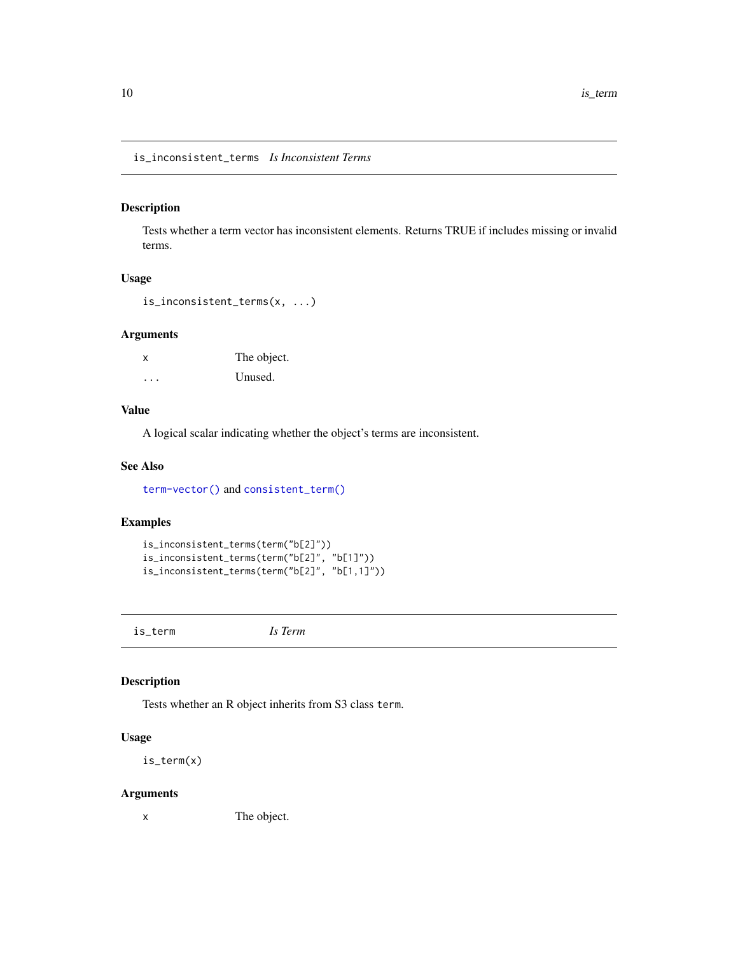<span id="page-9-0"></span>is\_inconsistent\_terms *Is Inconsistent Terms*

#### Description

Tests whether a term vector has inconsistent elements. Returns TRUE if includes missing or invalid terms.

#### Usage

```
is_inconsistent_terms(x, ...)
```
#### Arguments

x The object. ... Unused.

#### Value

A logical scalar indicating whether the object's terms are inconsistent.

#### See Also

[term-vector\(\)](#page-27-1) and [consistent\\_term\(\)](#page-6-1)

#### Examples

```
is_inconsistent_terms(term("b[2]"))
is_inconsistent_terms(term("b[2]", "b[1]"))
is_inconsistent_terms(term("b[2]", "b[1,1]"))
```
is\_term *Is Term*

#### Description

Tests whether an R object inherits from S3 class term.

#### Usage

is\_term(x)

#### Arguments

x The object.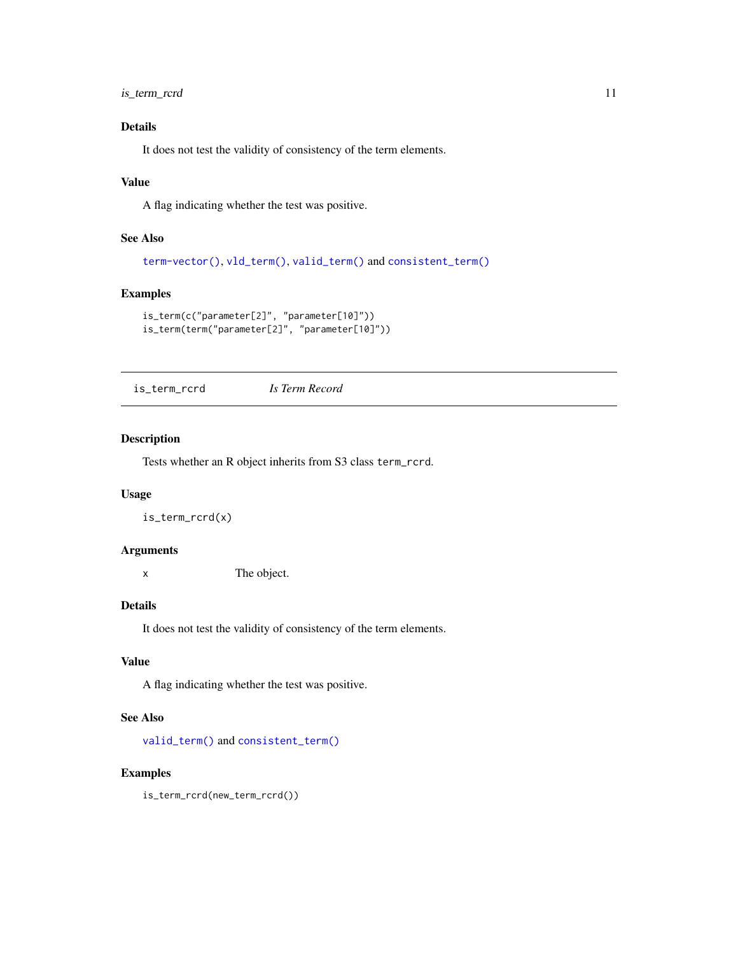<span id="page-10-0"></span>is\_term\_rcrd 11

#### Details

It does not test the validity of consistency of the term elements.

#### Value

A flag indicating whether the test was positive.

#### See Also

```
term-vector(), vld_term(), valid_term() and consistent_term()
```
#### Examples

```
is_term(c("parameter[2]", "parameter[10]"))
is_term(term("parameter[2]", "parameter[10]"))
```
is\_term\_rcrd *Is Term Record*

#### Description

Tests whether an R object inherits from S3 class term\_rcrd.

#### Usage

is\_term\_rcrd(x)

#### Arguments

x The object.

#### Details

It does not test the validity of consistency of the term elements.

#### Value

A flag indicating whether the test was positive.

#### See Also

[valid\\_term\(\)](#page-29-1) and [consistent\\_term\(\)](#page-6-1)

#### Examples

is\_term\_rcrd(new\_term\_rcrd())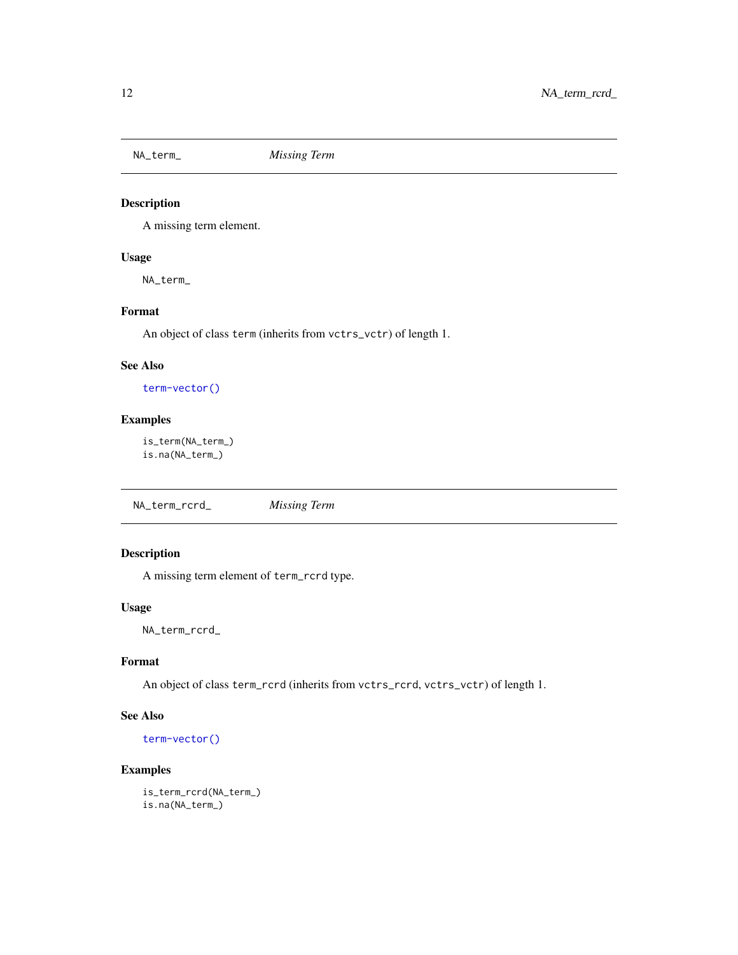<span id="page-11-0"></span>

A missing term element.

#### Usage

NA\_term\_

#### Format

An object of class term (inherits from vctrs\_vctr) of length 1.

#### See Also

[term-vector\(\)](#page-27-1)

#### Examples

is\_term(NA\_term\_) is.na(NA\_term\_)

NA\_term\_rcrd\_ *Missing Term*

#### Description

A missing term element of term\_rcrd type.

#### Usage

NA\_term\_rcrd\_

#### Format

An object of class term\_rcrd (inherits from vctrs\_rcrd, vctrs\_vctr) of length 1.

#### See Also

[term-vector\(\)](#page-27-1)

```
is_term_rcrd(NA_term_)
is.na(NA_term_)
```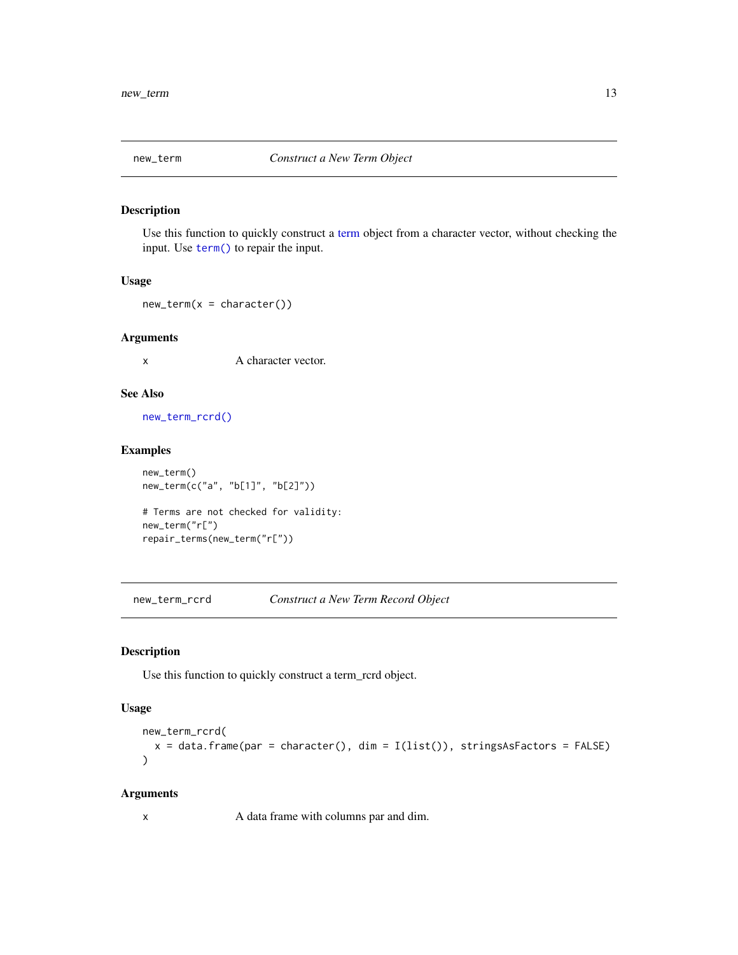<span id="page-12-2"></span><span id="page-12-0"></span>

Use this function to quickly construct a [term](#page-27-2) object from a character vector, without checking the input. Use [term\(\)](#page-27-2) to repair the input.

#### Usage

 $new_term(x = character())$ 

#### Arguments

x A character vector.

### See Also

[new\\_term\\_rcrd\(\)](#page-12-1)

#### Examples

```
new_term()
new_term(c("a", "b[1]", "b[2]"))
```
# Terms are not checked for validity: new\_term("r[") repair\_terms(new\_term("r["))

<span id="page-12-1"></span>new\_term\_rcrd *Construct a New Term Record Object*

#### Description

Use this function to quickly construct a term\_rcrd object.

#### Usage

```
new_term_rcrd(
 x = data. frame(par = character(), dim = I(list()), stringsAsFactors = FALSE)
)
```
#### Arguments

x A data frame with columns par and dim.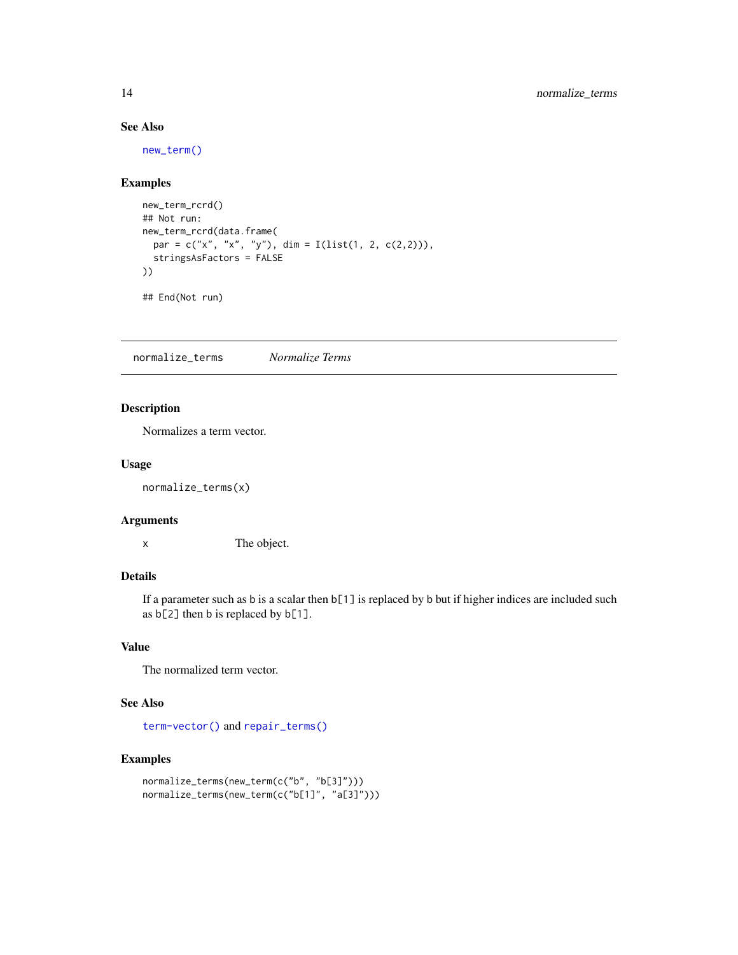#### See Also

[new\\_term\(\)](#page-12-2)

#### Examples

```
new_term_rcrd()
## Not run:
new_term_rcrd(data.frame(
 par = c("x", "x", "y"), dim = I(list(1, 2, c(2,2))),
  stringsAsFactors = FALSE
))
```
## End(Not run)

<span id="page-13-1"></span>normalize\_terms *Normalize Terms*

#### Description

Normalizes a term vector.

#### Usage

normalize\_terms(x)

#### Arguments

x The object.

#### Details

If a parameter such as b is a scalar then b[1] is replaced by b but if higher indices are included such as b[2] then b is replaced by b[1].

#### Value

The normalized term vector.

#### See Also

[term-vector\(\)](#page-27-1) and [repair\\_terms\(\)](#page-22-1)

```
normalize_terms(new_term(c("b", "b[3]")))
normalize_terms(new_term(c("b[1]", "a[3]")))
```
<span id="page-13-0"></span>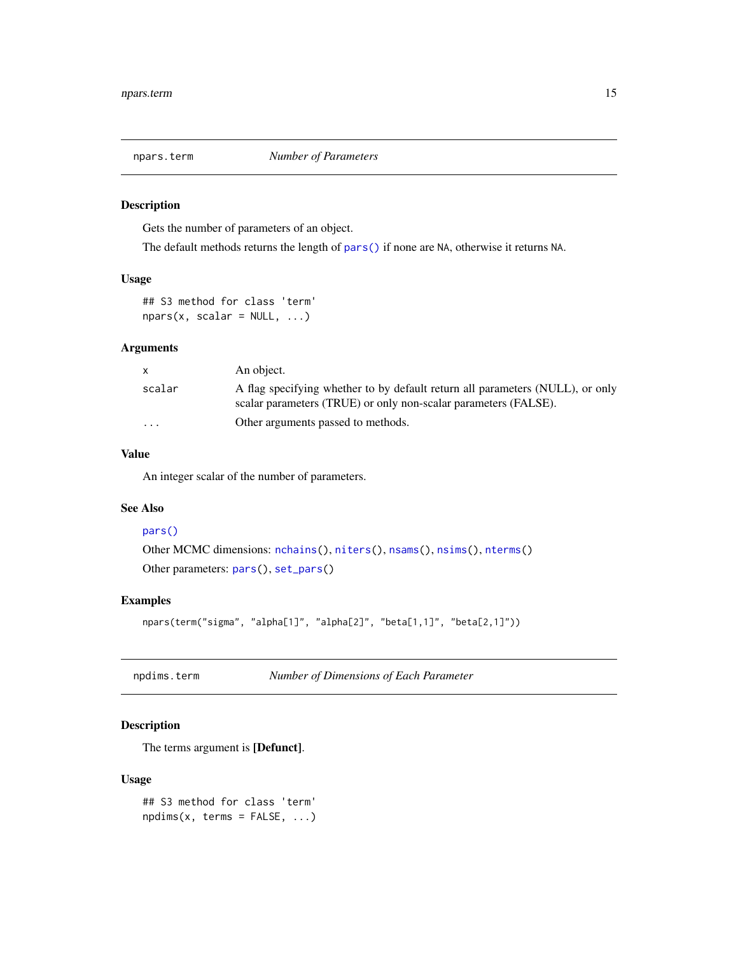<span id="page-14-0"></span>

Gets the number of parameters of an object.

The default methods returns the length of [pars\(\)](#page-0-0) if none are NA, otherwise it returns NA.

#### Usage

```
## S3 method for class 'term'
nparse(x, scalar = NULL, ...)
```
#### Arguments

| <b>X</b> | An object.                                                                                                                                       |
|----------|--------------------------------------------------------------------------------------------------------------------------------------------------|
| scalar   | A flag specifying whether to by default return all parameters (NULL), or only<br>scalar parameters (TRUE) or only non-scalar parameters (FALSE). |
| $\cdots$ | Other arguments passed to methods.                                                                                                               |

#### Value

An integer scalar of the number of parameters.

#### See Also

#### [pars\(\)](#page-0-0)

```
Other MCMC dimensions: nchains(), niters(), nsams(), nsims(), nterms()
Other parameters: pars(), set_pars()
```
#### Examples

```
npars(term("sigma", "alpha[1]", "alpha[2]", "beta[1,1]", "beta[2,1]"))
```

| npdims.term | Number of Dimensions of Each Parameter |  |
|-------------|----------------------------------------|--|
|             |                                        |  |

#### Description

The terms argument is [Defunct].

#### Usage

```
## S3 method for class 'term'
npdims(x, terms = FALSE, ...)
```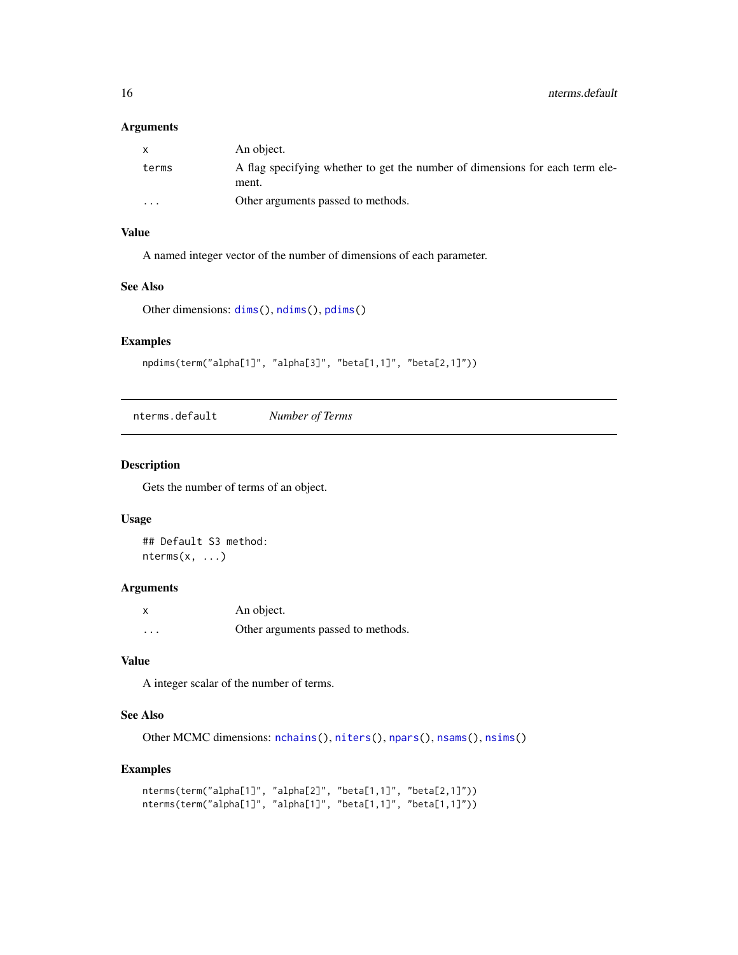#### <span id="page-15-0"></span>Arguments

| X        | An object.                                                                            |
|----------|---------------------------------------------------------------------------------------|
| terms    | A flag specifying whether to get the number of dimensions for each term ele-<br>ment. |
| $\cdots$ | Other arguments passed to methods.                                                    |

#### Value

A named integer vector of the number of dimensions of each parameter.

#### See Also

Other dimensions: [dims\(](#page-0-0)), [ndims\(](#page-0-0)), [pdims\(](#page-0-0))

#### Examples

npdims(term("alpha[1]", "alpha[3]", "beta[1,1]", "beta[2,1]"))

nterms.default *Number of Terms*

#### Description

Gets the number of terms of an object.

#### Usage

## Default S3 method:  $nterms(x, \ldots)$ 

#### Arguments

| $\boldsymbol{\mathsf{x}}$ | An object.                         |
|---------------------------|------------------------------------|
| $\cdots$                  | Other arguments passed to methods. |

#### Value

A integer scalar of the number of terms.

#### See Also

Other MCMC dimensions: [nchains\(](#page-0-0)), [niters\(](#page-0-0)), [npars\(](#page-0-0)), [nsams\(](#page-0-0)), [nsims\(](#page-0-0))

```
nterms(term("alpha[1]", "alpha[2]", "beta[1,1]", "beta[2,1]"))
nterms(term("alpha[1]", "alpha[1]", "beta[1,1]", "beta[1,1]"))
```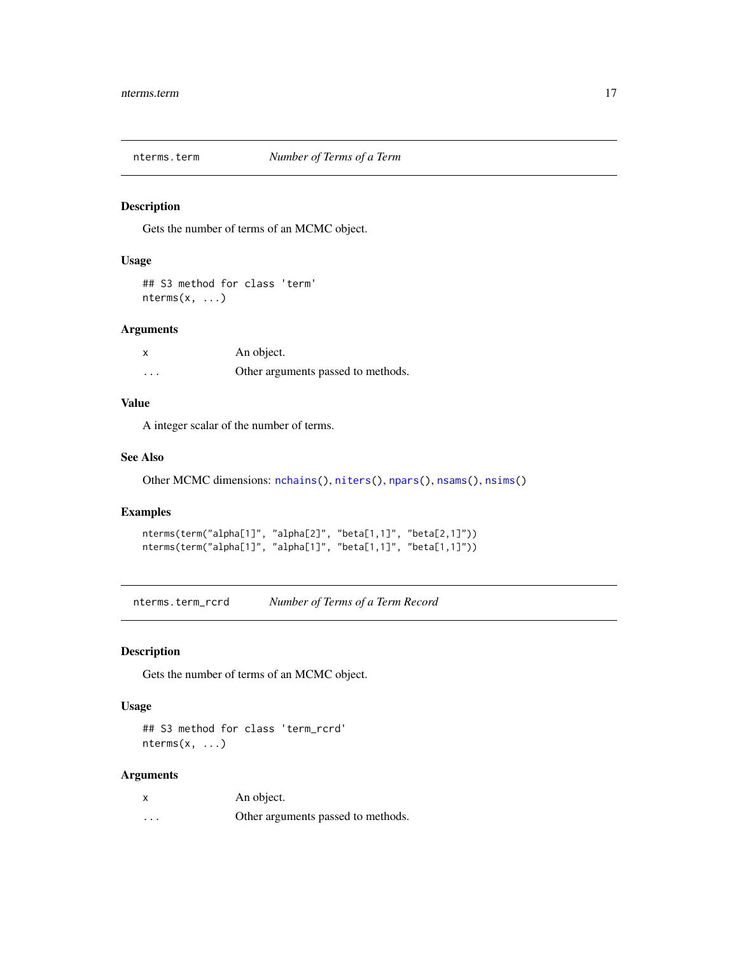<span id="page-16-0"></span>

Gets the number of terms of an MCMC object.

#### Usage

```
## S3 method for class 'term'
nterms(x, ...)
```
#### Arguments

| x       | An object.                         |
|---------|------------------------------------|
| $\cdot$ | Other arguments passed to methods. |

#### Value

A integer scalar of the number of terms.

#### See Also

Other MCMC dimensions: [nchains\(](#page-0-0)), [niters\(](#page-0-0)), [npars\(](#page-0-0)), [nsams\(](#page-0-0)), [nsims\(](#page-0-0))

#### Examples

```
nterms(term("alpha[1]", "alpha[2]", "beta[1,1]", "beta[2,1]"))
nterms(term("alpha[1]", "alpha[1]", "beta[1,1]", "beta[1,1]"))
```
nterms.term\_rcrd *Number of Terms of a Term Record*

#### Description

Gets the number of terms of an MCMC object.

#### Usage

## S3 method for class 'term\_rcrd'  $nterms(x, \ldots)$ 

#### Arguments

| $\boldsymbol{\mathsf{x}}$ | An object.                         |
|---------------------------|------------------------------------|
| $\cdots$                  | Other arguments passed to methods. |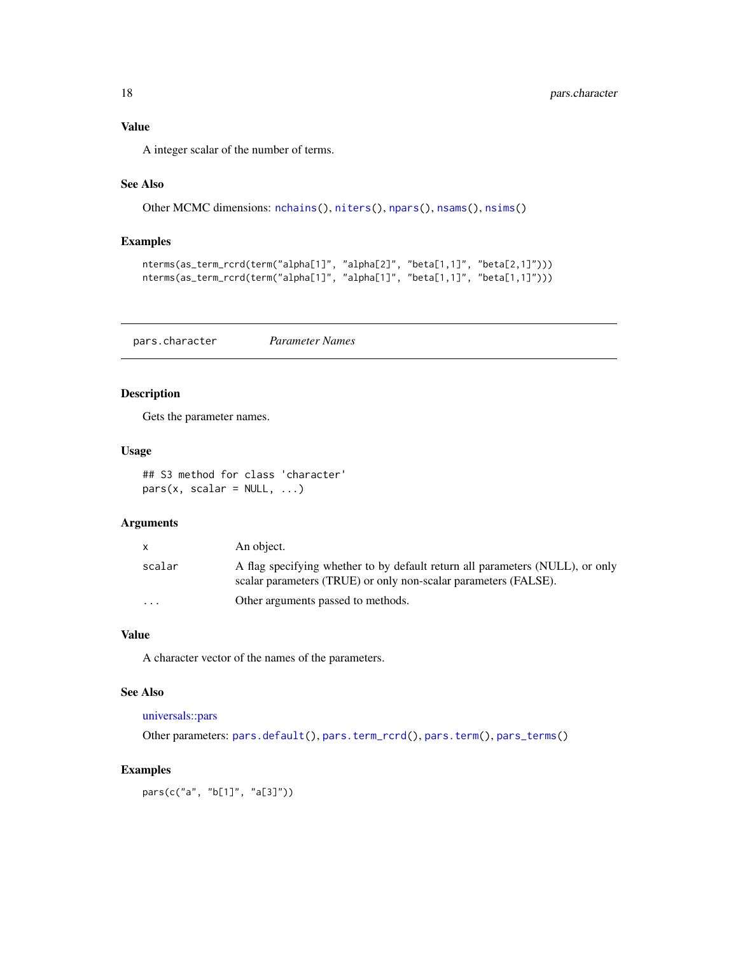<span id="page-17-0"></span>

A integer scalar of the number of terms.

#### See Also

```
Other MCMC dimensions: nchains(), niters(), npars(), nsams(), nsims()
```
#### Examples

```
nterms(as_term_rcrd(term("alpha[1]", "alpha[2]", "beta[1,1]", "beta[2,1]")))
nterms(as_term_rcrd(term("alpha[1]", "alpha[1]", "beta[1,1]", "beta[1,1]")))
```
<span id="page-17-1"></span>pars.character *Parameter Names*

#### Description

Gets the parameter names.

#### Usage

## S3 method for class 'character'  $pars(x, scalar = NULL, ...)$ 

#### Arguments

|                      | An object.                                                                                                                                       |
|----------------------|--------------------------------------------------------------------------------------------------------------------------------------------------|
| scalar               | A flag specifying whether to by default return all parameters (NULL), or only<br>scalar parameters (TRUE) or only non-scalar parameters (FALSE). |
| $\ddot{\phantom{0}}$ | Other arguments passed to methods.                                                                                                               |

#### Value

A character vector of the names of the parameters.

#### See Also

#### [universals::pars](#page-0-0)

Other parameters: [pars.default\(](#page-18-1)), [pars.term\\_rcrd\(](#page-19-1)), [pars.term\(](#page-18-2)), [pars\\_terms\(](#page-20-1))

#### Examples

pars(c("a", "b[1]", "a[3]"))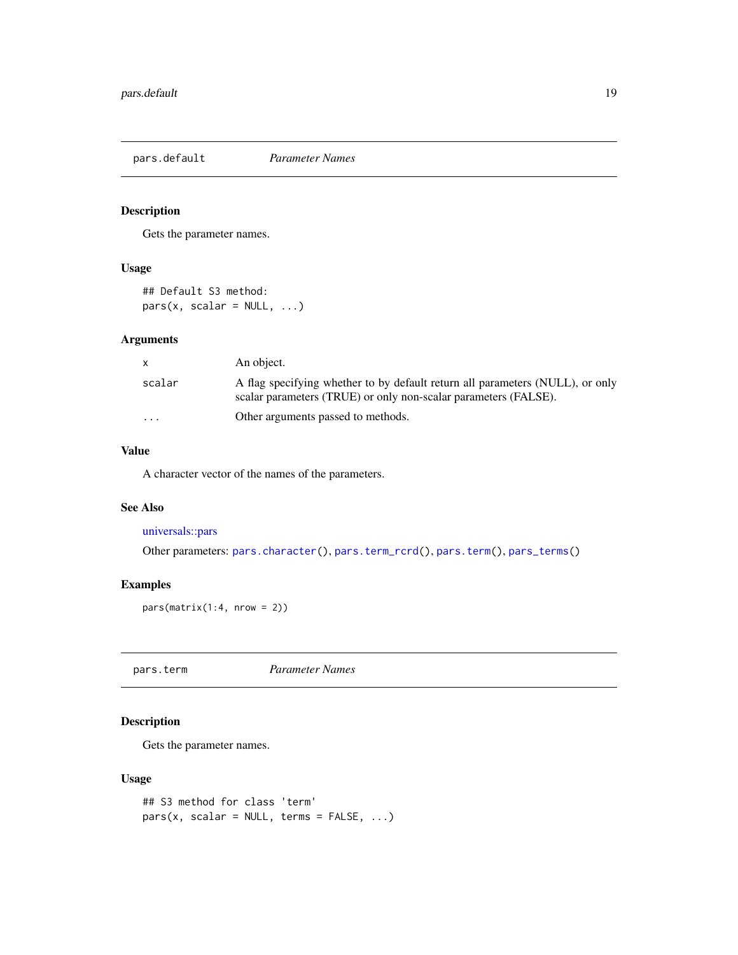<span id="page-18-1"></span><span id="page-18-0"></span>pars.default *Parameter Names*

#### Description

Gets the parameter names.

#### Usage

## Default S3 method:  $pars(x, scalar = NULL, ...)$ 

#### Arguments

| X.      | An object.                                                                                                                                       |
|---------|--------------------------------------------------------------------------------------------------------------------------------------------------|
| scalar  | A flag specifying whether to by default return all parameters (NULL), or only<br>scalar parameters (TRUE) or only non-scalar parameters (FALSE). |
| $\cdot$ | Other arguments passed to methods.                                                                                                               |

#### Value

A character vector of the names of the parameters.

#### See Also

[universals::pars](#page-0-0)

Other parameters: [pars.character\(](#page-17-1)), [pars.term\\_rcrd\(](#page-19-1)), [pars.term\(](#page-18-2)), [pars\\_terms\(](#page-20-1))

#### Examples

 $pars(matrix(1:4, nrow = 2))$ 

<span id="page-18-2"></span>pars.term *Parameter Names*

#### Description

Gets the parameter names.

#### Usage

```
## S3 method for class 'term'
pars(x, scalar = NULL, terms = FALSE, ...)
```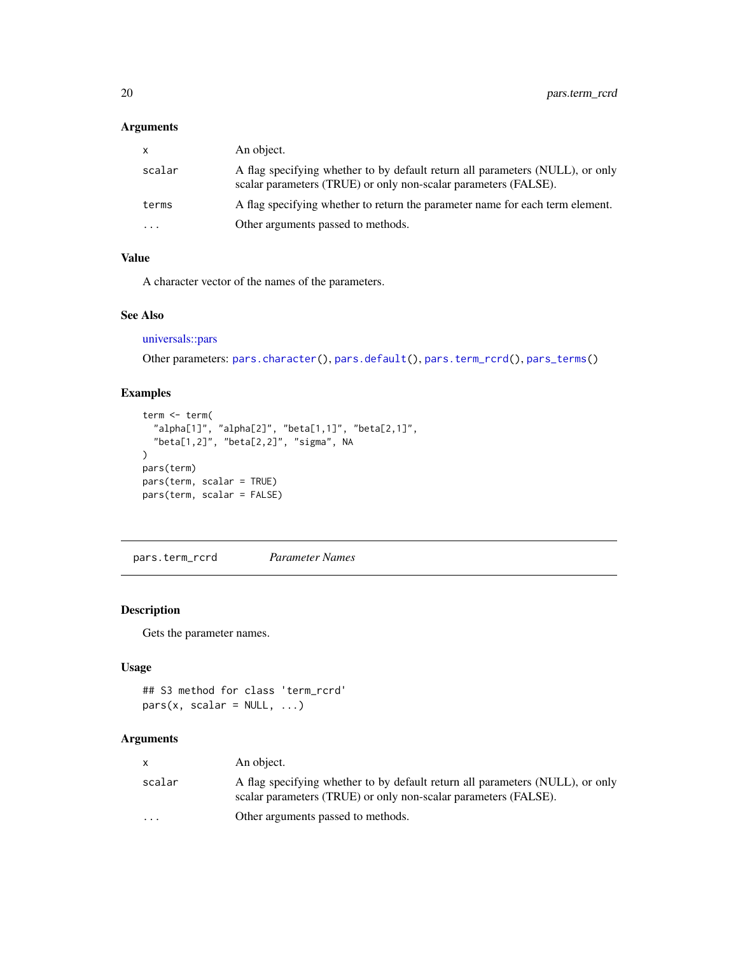#### <span id="page-19-0"></span>Arguments

| x.        | An object.                                                                                                                                       |
|-----------|--------------------------------------------------------------------------------------------------------------------------------------------------|
| scalar    | A flag specifying whether to by default return all parameters (NULL), or only<br>scalar parameters (TRUE) or only non-scalar parameters (FALSE). |
| terms     | A flag specifying whether to return the parameter name for each term element.                                                                    |
| $\ddotsc$ | Other arguments passed to methods.                                                                                                               |

#### Value

A character vector of the names of the parameters.

#### See Also

[universals::pars](#page-0-0)

Other parameters: [pars.character\(](#page-17-1)), [pars.default\(](#page-18-1)), [pars.term\\_rcrd\(](#page-19-1)), [pars\\_terms\(](#page-20-1))

#### Examples

```
term <- term(
  "alpha[1]", "alpha[2]", "beta[1,1]", "beta[2,1]",
  "beta[1,2]", "beta[2,2]", "sigma", NA
\lambdapars(term)
pars(term, scalar = TRUE)
pars(term, scalar = FALSE)
```
<span id="page-19-1"></span>pars.term\_rcrd *Parameter Names*

#### Description

Gets the parameter names.

#### Usage

```
## S3 method for class 'term_rcrd'
pars(x, scalar = NULL, ...)
```
#### Arguments

|                      | An object.                                                                                                                                       |
|----------------------|--------------------------------------------------------------------------------------------------------------------------------------------------|
| scalar               | A flag specifying whether to by default return all parameters (NULL), or only<br>scalar parameters (TRUE) or only non-scalar parameters (FALSE). |
| $\ddot{\phantom{0}}$ | Other arguments passed to methods.                                                                                                               |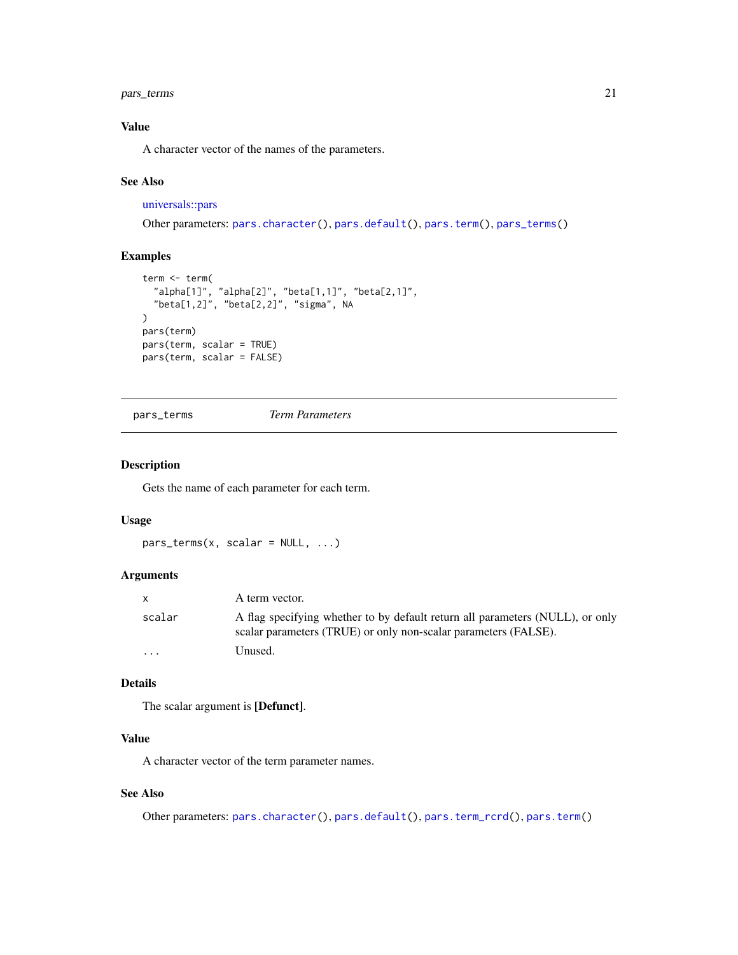#### <span id="page-20-0"></span>pars\_terms 21

#### Value

A character vector of the names of the parameters.

#### See Also

#### [universals::pars](#page-0-0)

```
Other parameters: pars.character(), pars.default(), pars.term(), pars_terms()
```
#### Examples

```
term <- term(
  "alpha[1]", "alpha[2]", "beta[1,1]", "beta[2,1]",
  "beta[1,2]", "beta[2,2]", "sigma", NA
)
pars(term)
pars(term, scalar = TRUE)
pars(term, scalar = FALSE)
```
<span id="page-20-1"></span>pars\_terms *Term Parameters*

#### Description

Gets the name of each parameter for each term.

#### Usage

 $pars_terms(x, scalar = NULL, ...)$ 

#### Arguments

|                         | A term vector.                                                                                                                                   |
|-------------------------|--------------------------------------------------------------------------------------------------------------------------------------------------|
| scalar                  | A flag specifying whether to by default return all parameters (NULL), or only<br>scalar parameters (TRUE) or only non-scalar parameters (FALSE). |
| $\cdot$ $\cdot$ $\cdot$ | Unused.                                                                                                                                          |

#### Details

The scalar argument is [Defunct].

#### Value

A character vector of the term parameter names.

#### See Also

Other parameters: [pars.character\(](#page-17-1)), [pars.default\(](#page-18-1)), [pars.term\\_rcrd\(](#page-19-1)), [pars.term\(](#page-18-2))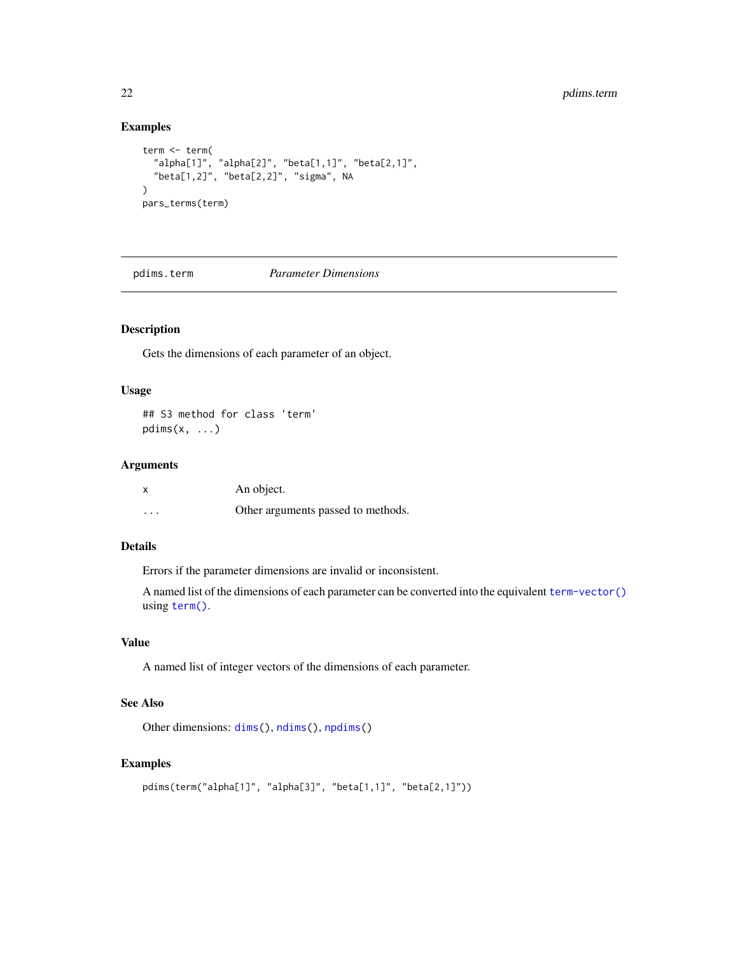#### Examples

```
term <- term(
  "alpha[1]", "alpha[2]", "beta[1,1]", "beta[2,1]",
  "beta[1,2]", "beta[2,2]", "sigma", NA
)
pars_terms(term)
```
pdims.term *Parameter Dimensions*

#### Description

Gets the dimensions of each parameter of an object.

#### Usage

## S3 method for class 'term'  $p \text{dim}(x, \ldots)$ 

#### Arguments

| x       | An object.                         |
|---------|------------------------------------|
| $\cdot$ | Other arguments passed to methods. |

#### Details

Errors if the parameter dimensions are invalid or inconsistent.

A named list of the dimensions of each parameter can be converted into the equivalent [term-vector\(\)](#page-27-1) using [term\(\)](#page-27-2).

#### Value

A named list of integer vectors of the dimensions of each parameter.

#### See Also

Other dimensions: [dims\(](#page-0-0)), [ndims\(](#page-0-0)), [npdims\(](#page-0-0))

```
pdims(term("alpha[1]", "alpha[3]", "beta[1,1]", "beta[2,1]"))
```
<span id="page-21-0"></span>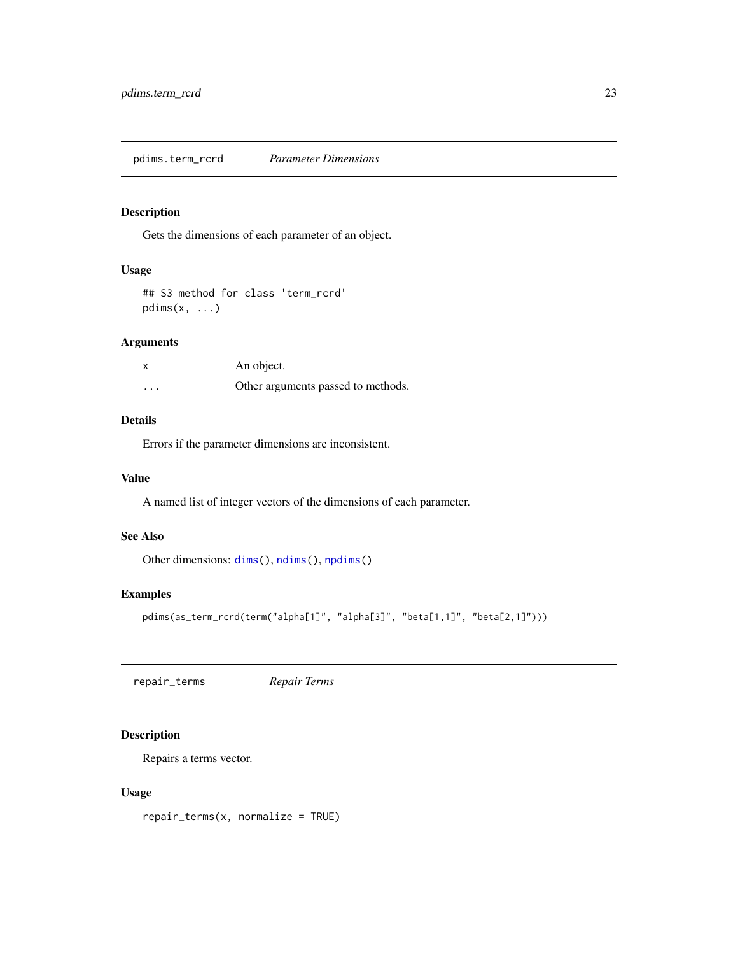<span id="page-22-0"></span>Gets the dimensions of each parameter of an object.

#### Usage

```
## S3 method for class 'term_rcrd'
pdims(x, \ldots)
```
#### Arguments

| x        | An object.                         |
|----------|------------------------------------|
| $\cdots$ | Other arguments passed to methods. |

#### Details

Errors if the parameter dimensions are inconsistent.

#### Value

A named list of integer vectors of the dimensions of each parameter.

#### See Also

Other dimensions: [dims\(](#page-0-0)), [ndims\(](#page-0-0)), [npdims\(](#page-0-0))

#### Examples

```
pdims(as_term_rcrd(term("alpha[1]", "alpha[3]", "beta[1,1]", "beta[2,1]")))
```
<span id="page-22-1"></span>repair\_terms *Repair Terms*

#### Description

Repairs a terms vector.

#### Usage

repair\_terms(x, normalize = TRUE)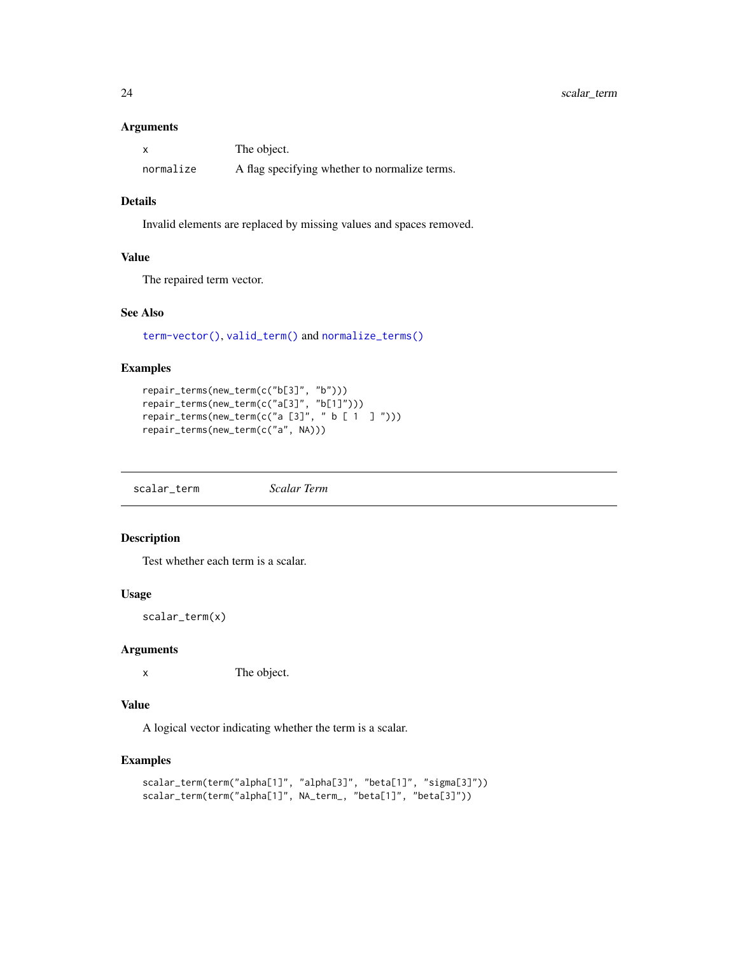#### <span id="page-23-0"></span>Arguments

|           | The object.                                   |
|-----------|-----------------------------------------------|
| normalize | A flag specifying whether to normalize terms. |

#### Details

Invalid elements are replaced by missing values and spaces removed.

#### Value

The repaired term vector.

#### See Also

[term-vector\(\)](#page-27-1), [valid\\_term\(\)](#page-29-1) and [normalize\\_terms\(\)](#page-13-1)

#### Examples

```
repair_terms(new_term(c("b[3]", "b")))
repair_terms(new_term(c("a[3]", "b[1]")))
repair_terms(new_term(c("a [3]", " b [1 \ 3 \  ]")))
repair_terms(new_term(c("a", NA)))
```
scalar\_term *Scalar Term*

#### Description

Test whether each term is a scalar.

#### Usage

scalar\_term(x)

#### Arguments

x The object.

#### Value

A logical vector indicating whether the term is a scalar.

```
scalar_term(term("alpha[1]", "alpha[3]", "beta[1]", "sigma[3]"))
scalar_term(term("alpha[1]", NA_term_, "beta[1]", "beta[3]"))
```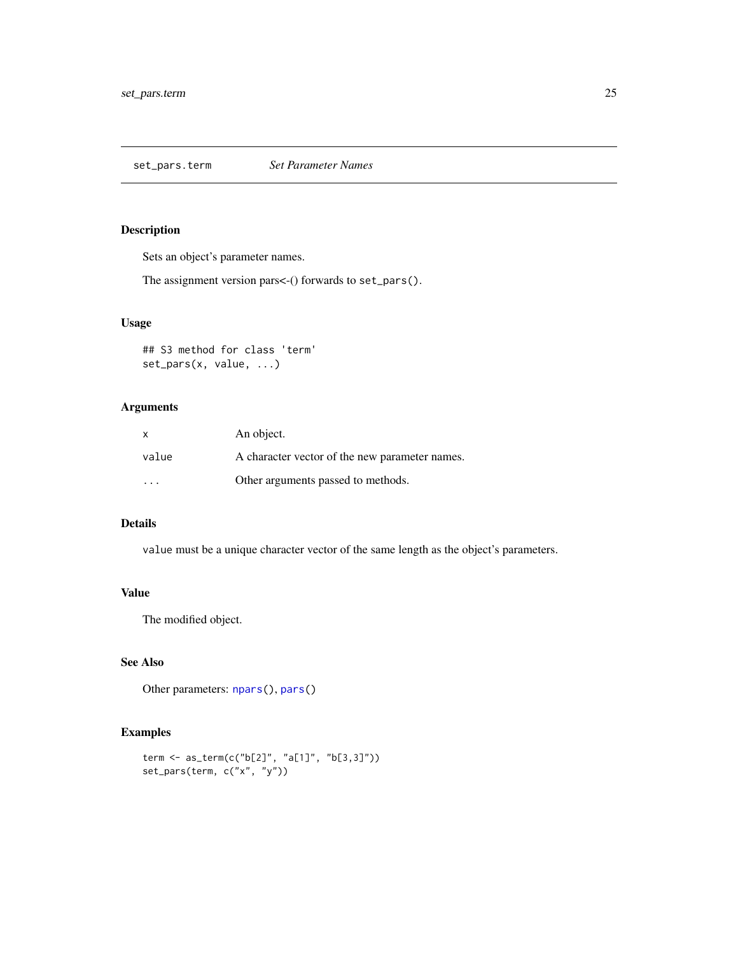<span id="page-24-0"></span>set\_pars.term *Set Parameter Names*

#### Description

Sets an object's parameter names.

The assignment version pars<-() forwards to set\_pars().

#### Usage

```
## S3 method for class 'term'
set_pars(x, value, ...)
```
#### Arguments

| X       | An object.                                     |
|---------|------------------------------------------------|
| value   | A character vector of the new parameter names. |
| $\cdot$ | Other arguments passed to methods.             |

#### Details

value must be a unique character vector of the same length as the object's parameters.

#### Value

The modified object.

#### See Also

Other parameters: [npars\(](#page-0-0)), [pars\(](#page-0-0))

```
term <- as_term(c("b[2]", "a[1]", "b[3,3]"))
set_pars(term, c("x", "y"))
```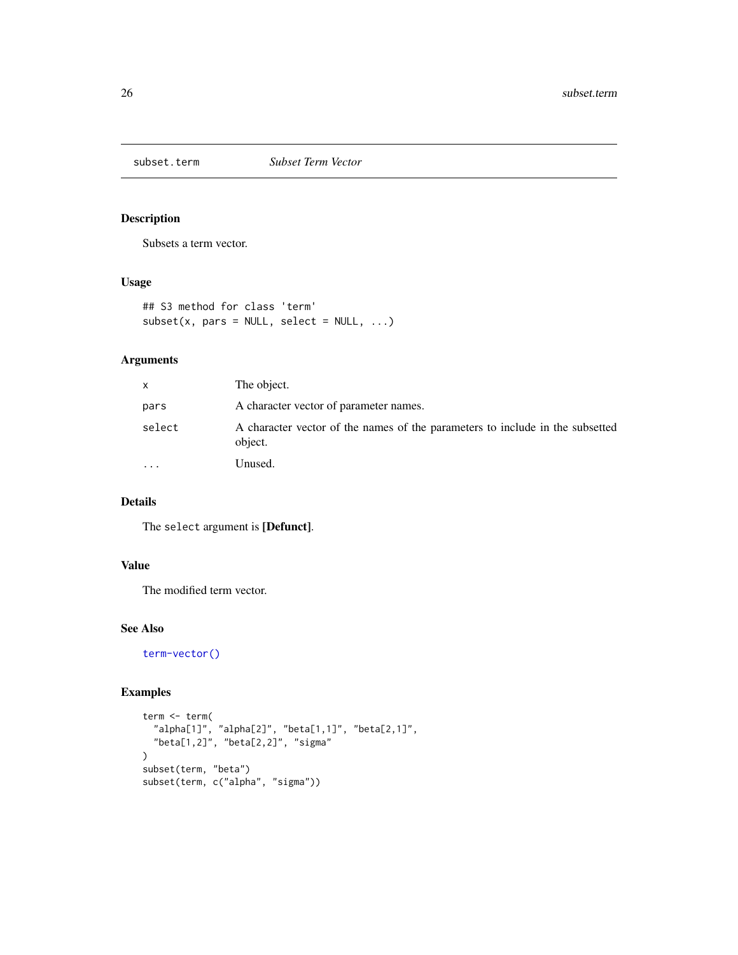<span id="page-25-0"></span>subset.term *Subset Term Vector*

#### Description

Subsets a term vector.

#### Usage

```
## S3 method for class 'term'
subset(x, pars = NULL, select = NULL, ...)
```
#### Arguments

| x         | The object.                                                                              |
|-----------|------------------------------------------------------------------------------------------|
| pars      | A character vector of parameter names.                                                   |
| select    | A character vector of the names of the parameters to include in the subsetted<br>object. |
| $\ddotsc$ | Unused.                                                                                  |

#### Details

The select argument is [Defunct].

#### Value

The modified term vector.

#### See Also

[term-vector\(\)](#page-27-1)

```
term <- term(
  "alpha[1]", "alpha[2]", "beta[1,1]", "beta[2,1]",
  "beta[1,2]", "beta[2,2]", "sigma"
\mathcal{L}subset(term, "beta")
subset(term, c("alpha", "sigma"))
```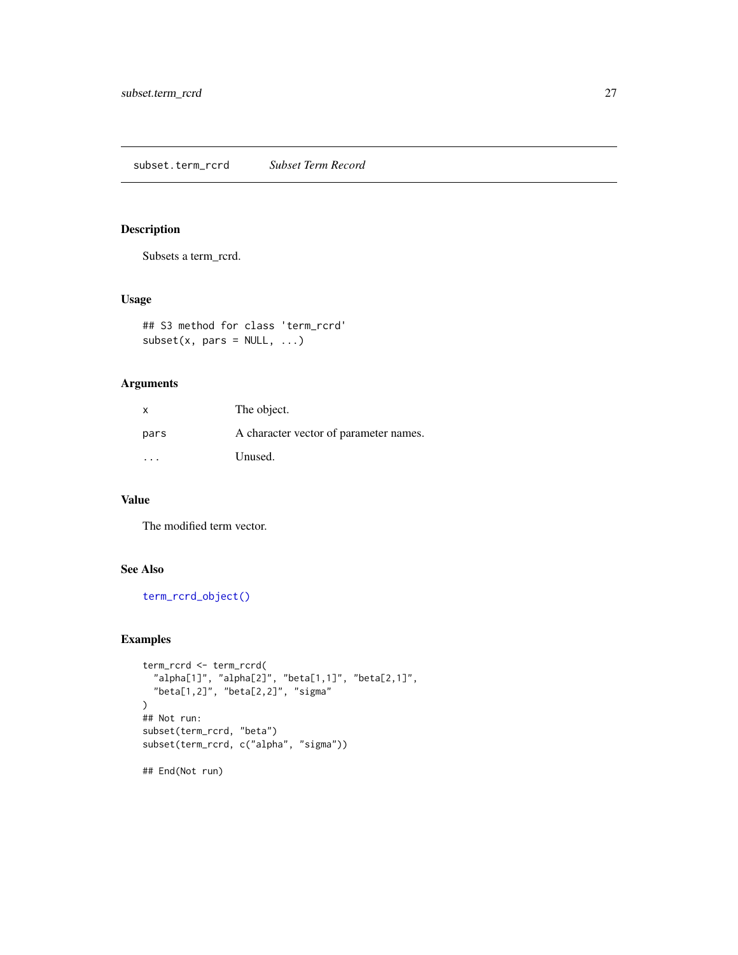<span id="page-26-0"></span>subset.term\_rcrd *Subset Term Record*

#### Description

Subsets a term\_rcrd.

#### Usage

```
## S3 method for class 'term_rcrd'
subset(x, pars = NULL, ...)
```
#### Arguments

| X    | The object.                            |
|------|----------------------------------------|
| pars | A character vector of parameter names. |
| .    | Unused.                                |

#### Value

The modified term vector.

#### See Also

[term\\_rcrd\\_object\(\)](#page-28-1)

```
term_rcrd <- term_rcrd(
  "alpha[1]", "alpha[2]", "beta[1,1]", "beta[2,1]",
  "beta[1,2]", "beta[2,2]", "sigma"
\mathcal{L}## Not run:
subset(term_rcrd, "beta")
subset(term_rcrd, c("alpha", "sigma"))
## End(Not run)
```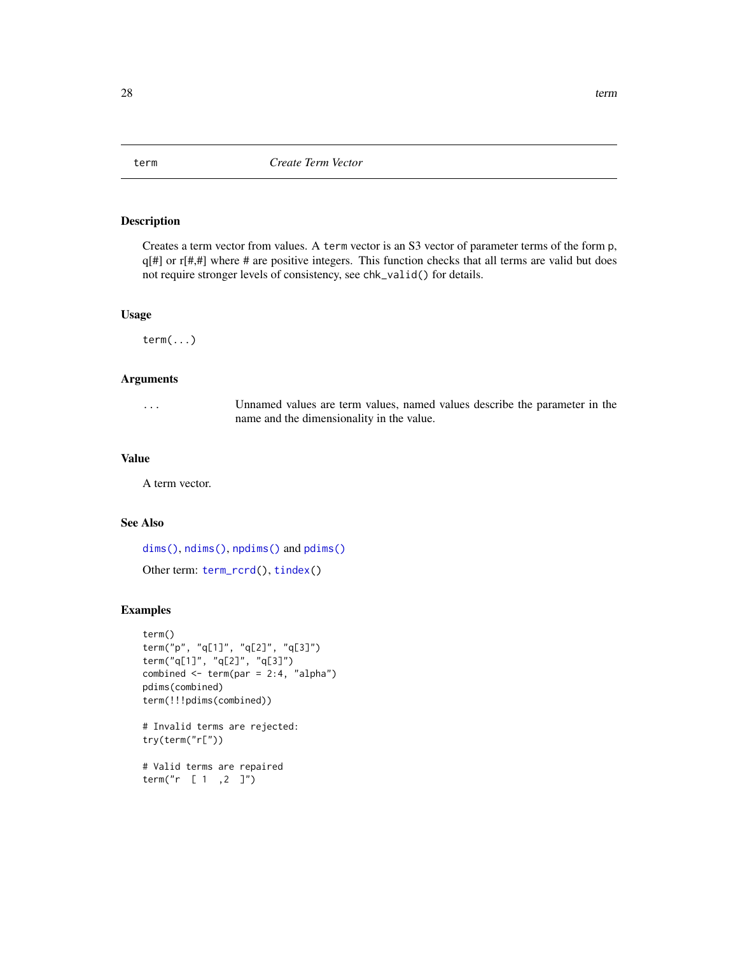<span id="page-27-1"></span>Creates a term vector from values. A term vector is an S3 vector of parameter terms of the form p,  $q[\#]$  or  $r[\#, \#]$  where # are positive integers. This function checks that all terms are valid but does not require stronger levels of consistency, see chk\_valid() for details.

#### Usage

term(...)

#### Arguments

... Unnamed values are term values, named values describe the parameter in the name and the dimensionality in the value.

#### Value

A term vector.

#### See Also

[dims\(\)](#page-0-0), [ndims\(\)](#page-0-0), [npdims\(\)](#page-0-0) and [pdims\(\)](#page-0-0) Other term: [term\\_rcrd\(](#page-28-2)), [tindex\(](#page-28-3))

#### Examples

```
term()
term("p", "q[1]", "q[2]", "q[3]")
term("q[1]", "q[2]", "q[3]")
combined \le term(par = 2:4, "alpha")
pdims(combined)
term(!!!pdims(combined))
```

```
# Invalid terms are rejected:
try(term("r["))
```
# Valid terms are repaired term("r [ 1 ,2 ]")

<span id="page-27-2"></span><span id="page-27-0"></span>28 term and the contract of the contract of the contract of the contract of the contract of the contract of the contract of the contract of the contract of the contract of the contract of the contract of the contract of th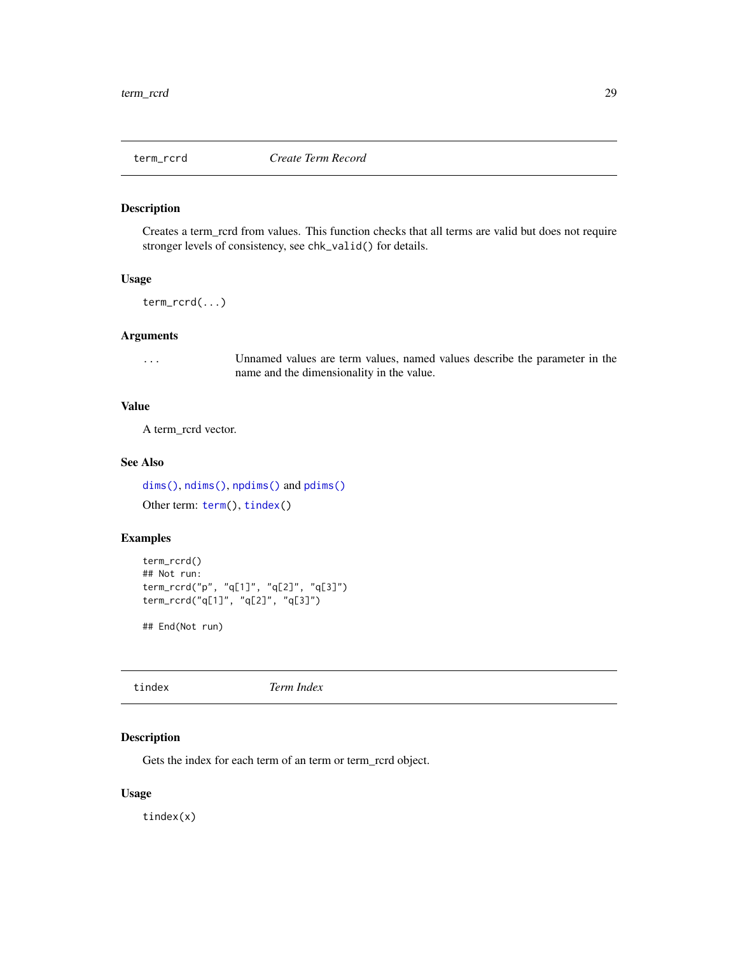<span id="page-28-2"></span><span id="page-28-1"></span><span id="page-28-0"></span>Creates a term\_rcrd from values. This function checks that all terms are valid but does not require stronger levels of consistency, see chk\_valid() for details.

#### Usage

term\_rcrd(...)

#### Arguments

... Unnamed values are term values, named values describe the parameter in the name and the dimensionality in the value.

#### Value

A term\_rcrd vector.

#### See Also

[dims\(\)](#page-0-0), [ndims\(\)](#page-0-0), [npdims\(\)](#page-0-0) and [pdims\(\)](#page-0-0) Other term: [term\(](#page-27-2)), [tindex\(](#page-28-3))

#### Examples

```
term_rcrd()
## Not run:
term_rcrd("p", "q[1]", "q[2]", "q[3]")
term_rcrd("q[1]", "q[2]", "q[3]")
```
## End(Not run)

<span id="page-28-3"></span>tindex *Term Index*

#### Description

Gets the index for each term of an term or term\_rcrd object.

#### Usage

tindex(x)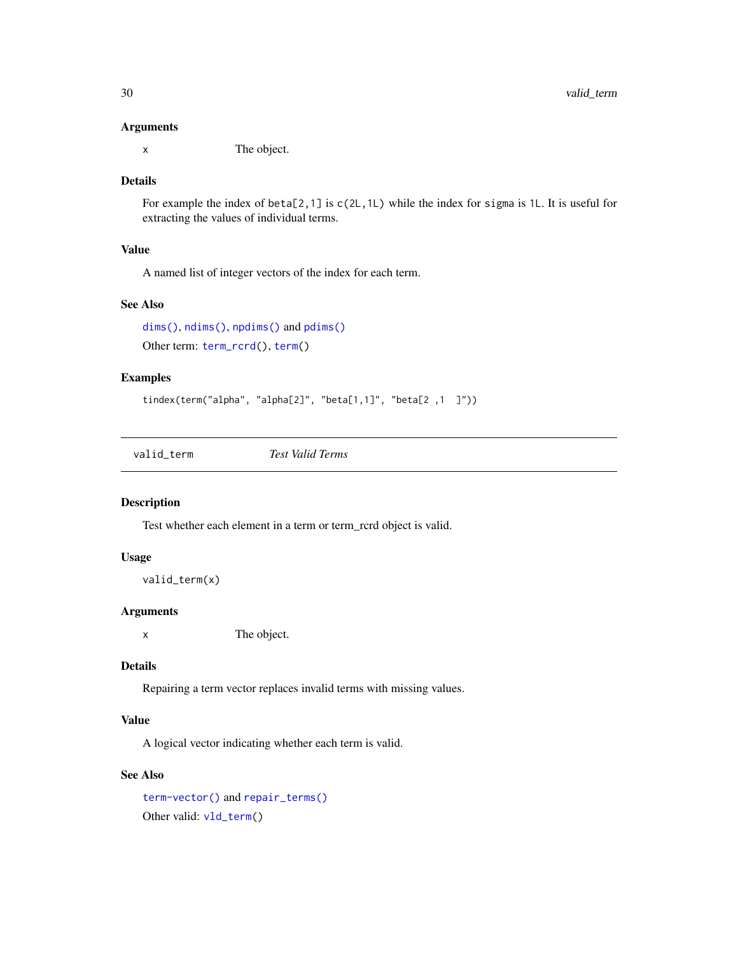#### <span id="page-29-0"></span>Arguments

x The object.

#### Details

For example the index of beta[2,1] is  $c(2L,1L)$  while the index for sigma is 1L. It is useful for extracting the values of individual terms.

#### Value

A named list of integer vectors of the index for each term.

#### See Also

[dims\(\)](#page-0-0), [ndims\(\)](#page-0-0), [npdims\(\)](#page-0-0) and [pdims\(\)](#page-0-0) Other term: [term\\_rcrd\(](#page-28-2)), [term\(](#page-27-2))

#### Examples

```
tindex(term("alpha", "alpha[2]", "beta[1,1]", "beta[2 ,1 ]"))
```
<span id="page-29-1"></span>valid\_term *Test Valid Terms*

#### Description

Test whether each element in a term or term\_rcrd object is valid.

#### Usage

```
valid_term(x)
```
#### Arguments

x The object.

#### Details

Repairing a term vector replaces invalid terms with missing values.

#### Value

A logical vector indicating whether each term is valid.

#### See Also

[term-vector\(\)](#page-27-1) and [repair\\_terms\(\)](#page-22-1) Other valid: [vld\\_term\(](#page-30-1))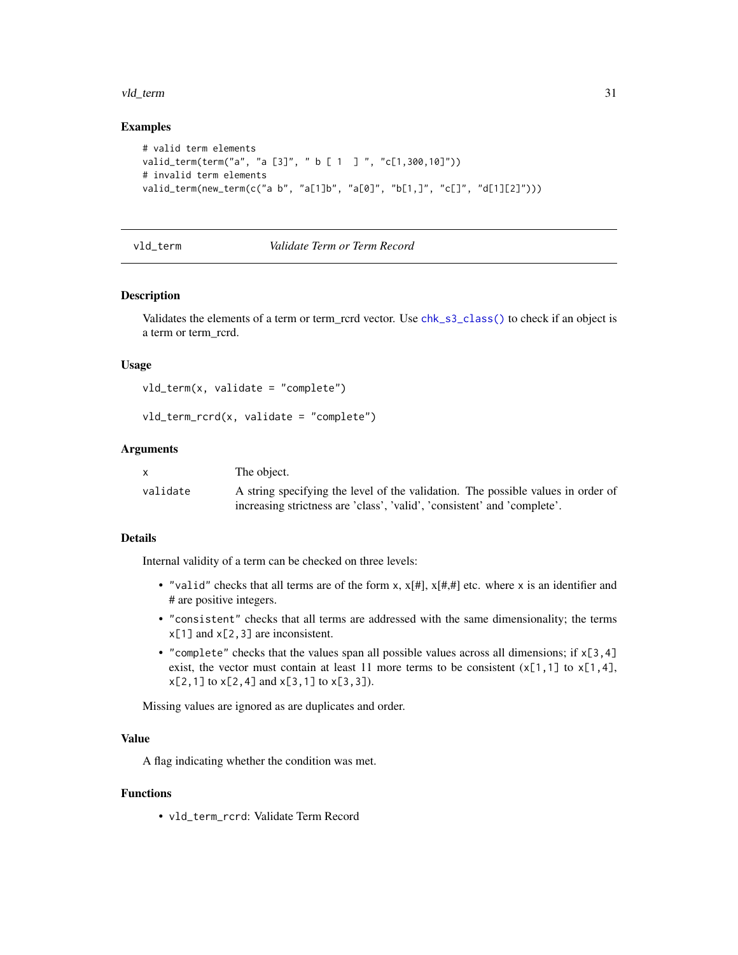#### <span id="page-30-0"></span>vld\_term 31

#### Examples

```
# valid term elements
valid_term(term("a", "a [3]", " b [ 1 ] ", "c[1,300,10]"))
# invalid term elements
valid_term(new_term(c("a b", "a[1]b", "a[0]", "b[1,]", "c[]", "d[1][2]")))
```
#### <span id="page-30-1"></span>vld\_term *Validate Term or Term Record*

#### <span id="page-30-2"></span>Description

Validates the elements of a term or term\_rcrd vector. Use [chk\\_s3\\_class\(\)](#page-0-0) to check if an object is a term or term\_rcrd.

#### Usage

```
vld_t term(x, validate = "complete")
```
x The object.

```
vld_term_rcrd(x, validate = "complete")
```
#### **Arguments**

|          | The opject.                                                                      |
|----------|----------------------------------------------------------------------------------|
| validate | A string specifying the level of the validation. The possible values in order of |
|          | increasing strictness are 'class', 'valid', 'consistent' and 'complete'.         |

#### Details

Internal validity of a term can be checked on three levels:

- "valid" checks that all terms are of the form  $x, x[\#]$ ,  $x[\#,\#]$  etc. where x is an identifier and # are positive integers.
- "consistent" checks that all terms are addressed with the same dimensionality; the terms x[1] and x[2,3] are inconsistent.
- "complete" checks that the values span all possible values across all dimensions; if  $x[3,4]$ exist, the vector must contain at least 11 more terms to be consistent  $(x[1,1]$  to  $x[1,4]$ ,  $x[2,1]$  to  $x[2,4]$  and  $x[3,1]$  to  $x[3,3]$ ).

Missing values are ignored as are duplicates and order.

#### Value

A flag indicating whether the condition was met.

#### Functions

• vld\_term\_rcrd: Validate Term Record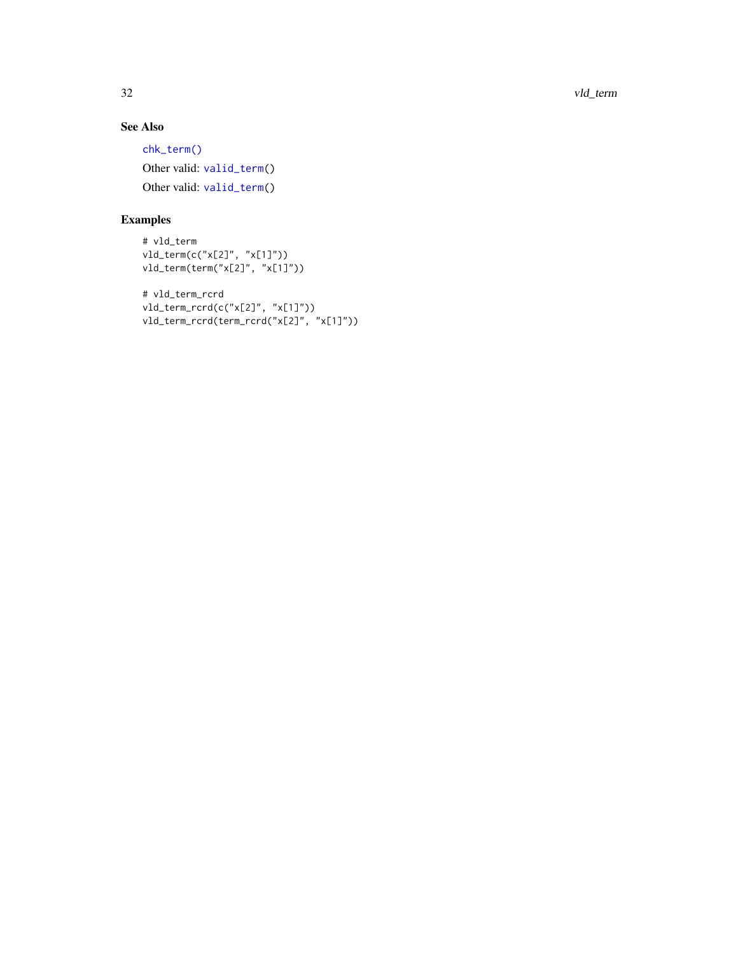32 vld\_term

#### See Also

[chk\\_term\(\)](#page-4-1) Other valid: [valid\\_term\(](#page-29-1)) Other valid: [valid\\_term\(](#page-29-1))

```
# vld_term
vld_term(c("x[2]", "x[1]"))
vld_term(term("x[2]", "x[1]"))
# vld_term_rcrd
vld_term_rcrd(c("x[2]", "x[1]"))
vld_term_rcrd(term_rcrd("x[2]", "x[1]"))
```
<span id="page-31-0"></span>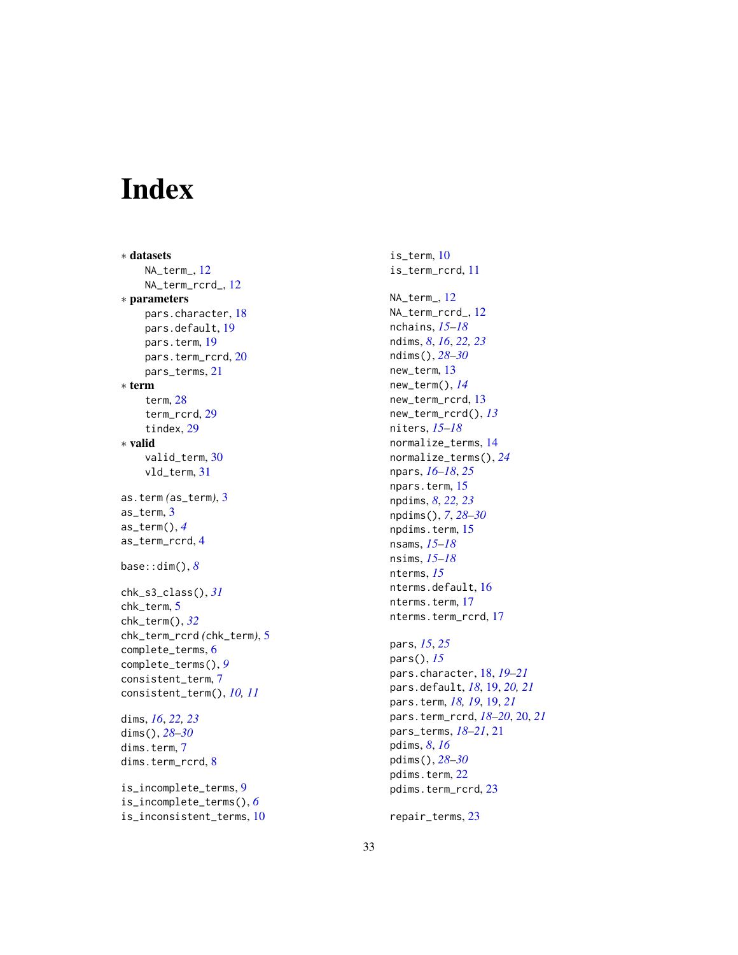# <span id="page-32-0"></span>Index

∗ datasets NA\_term\_ , [12](#page-11-0) NA\_term\_rcrd\_ , [12](#page-11-0) ∗ parameters pars.character , [18](#page-17-0) pars.default , [19](#page-18-0) pars.term , [19](#page-18-0) pars.term\_rcrd , [20](#page-19-0) pars\_terms , [21](#page-20-0) ∗ term term , [28](#page-27-0) term\_rcrd , [29](#page-28-0) tindex , [29](#page-28-0) ∗ valid valid\_term , [30](#page-29-0) vld\_term , [31](#page-30-0) as.term *(*as\_term *)* , [3](#page-2-0) as\_term , [3](#page-2-0) as\_term() , *[4](#page-3-0)* as\_term\_rcrd , [4](#page-3-0) base::dim() , *[8](#page-7-0)* chk\_s3\_class() , *[31](#page-30-0)* chk\_term , [5](#page-4-0) chk\_term() , *[32](#page-31-0)* chk\_term\_rcrd *(*chk\_term *)* , [5](#page-4-0) complete\_terms , [6](#page-5-0) complete\_terms() , *[9](#page-8-0)* consistent\_term , [7](#page-6-0) consistent\_term() , *[10](#page-9-0) , [11](#page-10-0)* dims , *[16](#page-15-0)* , *[22](#page-21-0) , [23](#page-22-0)* dims() , *[28](#page-27-0) [–30](#page-29-0)* dims.term , [7](#page-6-0) dims.term\_rcrd, [8](#page-7-0) is\_incomplete\_terms , [9](#page-8-0) is\_incomplete\_terms() , *[6](#page-5-0)* is\_inconsistent\_terms , [10](#page-9-0)

is\_term , [10](#page-9-0) is\_term\_rcrd , [11](#page-10-0) NA\_term\_ , [12](#page-11-0) NA\_term\_rcrd\_ , [12](#page-11-0) nchains , *[15](#page-14-0) [–18](#page-17-0)* ndims , *[8](#page-7-0)* , *[16](#page-15-0)* , *[22](#page-21-0) , [23](#page-22-0)* ndims() , *[28](#page-27-0) [–30](#page-29-0)* new\_term , [13](#page-12-0) new\_term() , *[14](#page-13-0)* new\_term\_rcrd , [13](#page-12-0) new\_term\_rcrd() , *[13](#page-12-0)* niters , *[15](#page-14-0) [–18](#page-17-0)* normalize\_terms , [14](#page-13-0) normalize\_terms() , *[24](#page-23-0)* npars , *[16](#page-15-0)[–18](#page-17-0)* , *[25](#page-24-0)* npars.term, [15](#page-14-0) npdims , *[8](#page-7-0)* , *[22](#page-21-0) , [23](#page-22-0)* npdims() , *[7](#page-6-0)* , *[28](#page-27-0) [–30](#page-29-0)* npdims.term , [15](#page-14-0) nsams , *[15](#page-14-0) [–18](#page-17-0)* nsims , *[15](#page-14-0) [–18](#page-17-0)* nterms , *[15](#page-14-0)* nterms.default, [16](#page-15-0) nterms.term, [17](#page-16-0) nterms.term\_rcrd , [17](#page-16-0) pars , *[15](#page-14-0)* , *[25](#page-24-0)* pars() , *[15](#page-14-0)* pars.character , [18](#page-17-0) , *[19](#page-18-0) [–21](#page-20-0)* pars.default , *[18](#page-17-0)* , [19](#page-18-0) , *[20](#page-19-0) , [21](#page-20-0)* pars.term , *[18](#page-17-0) , [19](#page-18-0)* , [19](#page-18-0) , *[21](#page-20-0)* pars.term\_rcrd , *[18](#page-17-0) [–20](#page-19-0)* , [20](#page-19-0) , *[21](#page-20-0)* pars\_terms , *[18](#page-17-0) [–21](#page-20-0)* , [21](#page-20-0)

pdims , *[8](#page-7-0)* , *[16](#page-15-0)* pdims() , *[28](#page-27-0) [–30](#page-29-0)* pdims.term , [22](#page-21-0) pdims.term\_rcrd , [23](#page-22-0)

repair\_terms , [23](#page-22-0)